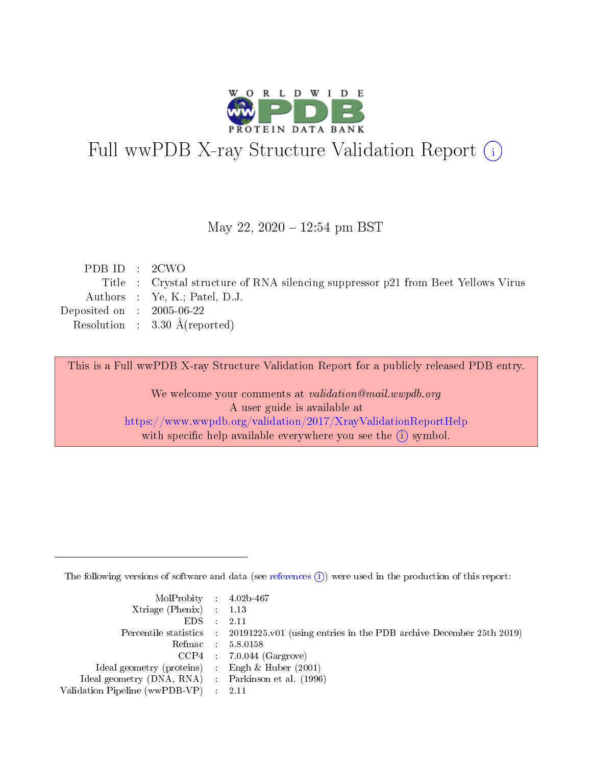

# Full wwPDB X-ray Structure Validation Report (i)

#### May 22, 2020 - 12:54 pm BST

| PDBID : 2CWO                |                                                                                   |
|-----------------------------|-----------------------------------------------------------------------------------|
|                             | Title : Crystal structure of RNA silencing suppressor p21 from Beet Yellows Virus |
|                             | Authors : Ye, K.; Patel, D.J.                                                     |
| Deposited on : $2005-06-22$ |                                                                                   |
|                             | Resolution : $3.30 \text{ Å}$ (reported)                                          |
|                             |                                                                                   |

This is a Full wwPDB X-ray Structure Validation Report for a publicly released PDB entry.

We welcome your comments at validation@mail.wwpdb.org A user guide is available at <https://www.wwpdb.org/validation/2017/XrayValidationReportHelp> with specific help available everywhere you see the  $(i)$  symbol.

The following versions of software and data (see [references](https://www.wwpdb.org/validation/2017/XrayValidationReportHelp#references)  $(i)$ ) were used in the production of this report:

| $MolProbability$ 4.02b-467                          |                                                                                            |
|-----------------------------------------------------|--------------------------------------------------------------------------------------------|
| Xtriage (Phenix) $: 1.13$                           |                                                                                            |
| $EDS$ :                                             | -2.11                                                                                      |
|                                                     | Percentile statistics : 20191225.v01 (using entries in the PDB archive December 25th 2019) |
|                                                     | Refmac : 5.8.0158                                                                          |
|                                                     | $CCP4$ : 7.0.044 (Gargrove)                                                                |
| Ideal geometry (proteins) : Engh $\&$ Huber (2001)  |                                                                                            |
| Ideal geometry (DNA, RNA) : Parkinson et al. (1996) |                                                                                            |
| Validation Pipeline (wwPDB-VP)                      | -2.11                                                                                      |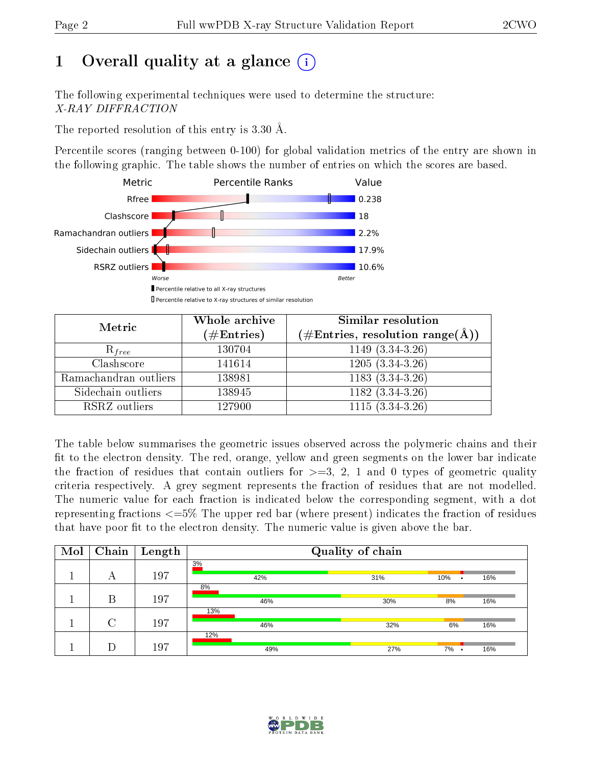# 1 [O](https://www.wwpdb.org/validation/2017/XrayValidationReportHelp#overall_quality)verall quality at a glance  $(i)$

The following experimental techniques were used to determine the structure: X-RAY DIFFRACTION

The reported resolution of this entry is 3.30 Å.

Percentile scores (ranging between 0-100) for global validation metrics of the entry are shown in the following graphic. The table shows the number of entries on which the scores are based.



| Metric                | Whole archive<br>$(\#\mathrm{Entries})$ | Similar resolution<br>$(\#\text{Entries},\, \text{resolution}\; \text{range}(\textup{\AA}))$ |
|-----------------------|-----------------------------------------|----------------------------------------------------------------------------------------------|
| $R_{free}$            | 130704                                  | $1149(3.34-3.26)$                                                                            |
| Clashscore            | 141614                                  | $1205(3.34-3.26)$                                                                            |
| Ramachandran outliers | 138981                                  | $1183(3.34-3.26)$                                                                            |
| Sidechain outliers    | 138945                                  | $1182(3.34-3.26)$                                                                            |
| RSRZ outliers         | 127900                                  | $1115(3.34-3.26)$                                                                            |

The table below summarises the geometric issues observed across the polymeric chains and their fit to the electron density. The red, orange, yellow and green segments on the lower bar indicate the fraction of residues that contain outliers for  $>=3, 2, 1$  and 0 types of geometric quality criteria respectively. A grey segment represents the fraction of residues that are not modelled. The numeric value for each fraction is indicated below the corresponding segment, with a dot representing fractions  $\epsilon=5\%$  The upper red bar (where present) indicates the fraction of residues that have poor fit to the electron density. The numeric value is given above the bar.

| Mol | Chain  | Length | Quality of chain |     |                  |     |  |
|-----|--------|--------|------------------|-----|------------------|-----|--|
|     | А      | 197    | 3%<br>42%        | 31% | 10%<br>$\bullet$ | 16% |  |
|     | Β      | 197    | 8%<br>46%        | 30% | 8%               | 16% |  |
|     | $\cap$ | 197    | 13%<br>46%       | 32% | 6%               | 16% |  |
|     |        | 197    | 12%<br>49%       | 27% | 7%<br>$\bullet$  | 16% |  |

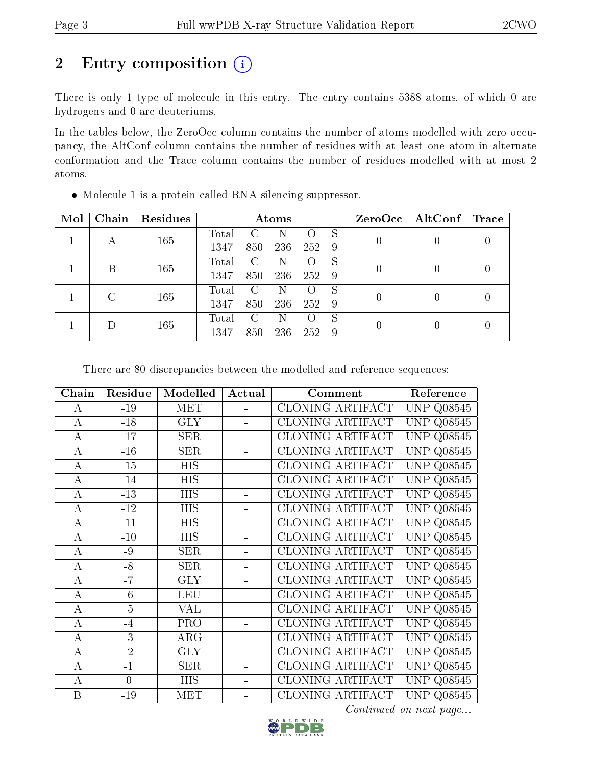# 2 Entry composition  $(i)$

There is only 1 type of molecule in this entry. The entry contains 5388 atoms, of which 0 are hydrogens and 0 are deuteriums.

In the tables below, the ZeroOcc column contains the number of atoms modelled with zero occupancy, the AltConf column contains the number of residues with at least one atom in alternate conformation and the Trace column contains the number of residues modelled with at most 2 atoms.

| Mol | Chain | Residues | Atoms |                        |     |     |                  | ZeroOcc | $\vert$ AltConf $\vert$ | $\operatorname{Trace}$ |
|-----|-------|----------|-------|------------------------|-----|-----|------------------|---------|-------------------------|------------------------|
|     |       | 165      | Total |                        |     |     | S                |         |                         |                        |
|     | А     |          | 1347  | 850                    | 236 | 252 | -9               |         |                         |                        |
|     | В     | 165      | Total | C                      | N   |     | S                | 0       |                         |                        |
|     |       |          | 1347  | 850                    | 236 | 252 | 9                |         |                         |                        |
|     | C     | 165      | Total | $\left( \cdot \right)$ | N   |     | S                |         |                         |                        |
|     |       | 1347     | 850   | 236                    | 252 | -9  | $\left( \right)$ |         |                         |                        |
|     |       |          | Total |                        | N   |     | S                |         |                         |                        |
|     | 165   | 1347     | 850   | 236                    | 252 | 9   |                  |         |                         |                        |

Molecule 1 is a protein called RNA silencing suppressor.

There are 80 discrepancies between the modelled and reference sequences:

| Chain          | Residue  | Modelled   | Actual         | Comment                 | Reference            |
|----------------|----------|------------|----------------|-------------------------|----------------------|
| $\bf{A}$       | $-19$    | <b>MET</b> |                | CLONING ARTIFACT        | <b>UNP Q08545</b>    |
| $\bf{A}$       | $-18$    | <b>GLY</b> |                | <b>CLONING ARTIFACT</b> | UNP<br>Q08545        |
| $\bf{A}$       | $-17$    | <b>SER</b> |                | CLONING ARTIFACT        | <b>UNP Q08545</b>    |
| $\bf{A}$       | $-16$    | <b>SER</b> |                | CLONING ARTIFACT        | <b>UNP Q08545</b>    |
| $\bf{A}$       | $-15$    | <b>HIS</b> |                | CLONING ARTIFACT        | <b>UNP</b><br>Q08545 |
| $\bf{A}$       | $-14$    | <b>HIS</b> |                | <b>CLONING ARTIFACT</b> | UNP<br>Q08545        |
| $\bf{A}$       | $-13$    | HIS        |                | CLONING ARTIFACT        | <b>UNP Q08545</b>    |
| $\bf{A}$       | $-12$    | HIS        |                | CLONING ARTIFACT        | <b>UNP</b><br>Q08545 |
| $\bf{A}$       | $-11$    | <b>HIS</b> |                | <b>CLONING ARTIFACT</b> | Q08545<br>UNP        |
| $\bf{A}$       | $-10$    | HIS        |                | CLONING ARTIFACT        | <b>UNP Q08545</b>    |
| $\bf{A}$       | $-9$     | <b>SER</b> |                | CLONING ARTIFACT        | <b>UNP</b><br>Q08545 |
| $\bf{A}$       | $-8$     | <b>SER</b> |                | <b>CLONING ARTIFACT</b> | UNP<br>Q08545        |
| $\overline{A}$ | $-7$     | <b>GLY</b> |                | CLONING ARTIFACT        | <b>UNP Q08545</b>    |
| $\bf{A}$       | $-6$     | <b>LEU</b> |                | <b>CLONING ARTIFACT</b> | <b>UNP</b><br>Q08545 |
| $\bf{A}$       | $-5$     | <b>VAL</b> |                | CLONING ARTIFACT        | <b>UNP</b><br>Q08545 |
| $\bf{A}$       | $-4$     | <b>PRO</b> |                | CLONING ARTIFACT        | <b>UNP Q08545</b>    |
| $\bf{A}$       | $-3$     | $\rm{ARG}$ |                | CLONING ARTIFACT        | Q08545<br>UNP        |
| $\bf{A}$       | $-2$     | <b>GLY</b> |                | CLONING ARTIFACT        | <b>UNP</b><br>Q08545 |
| $\bf{A}$       | $-1$     | <b>SER</b> |                | CLONING ARTIFACT        | <b>UNP Q08545</b>    |
| $\bf{A}$       | $\theta$ | <b>HIS</b> | $\blacksquare$ | CLONING ARTIFACT        | <b>UNP Q08545</b>    |
| $\mathbf{B}$   | $-19$    | <b>MET</b> |                | <b>CLONING ARTIFACT</b> | <b>UNP Q08545</b>    |

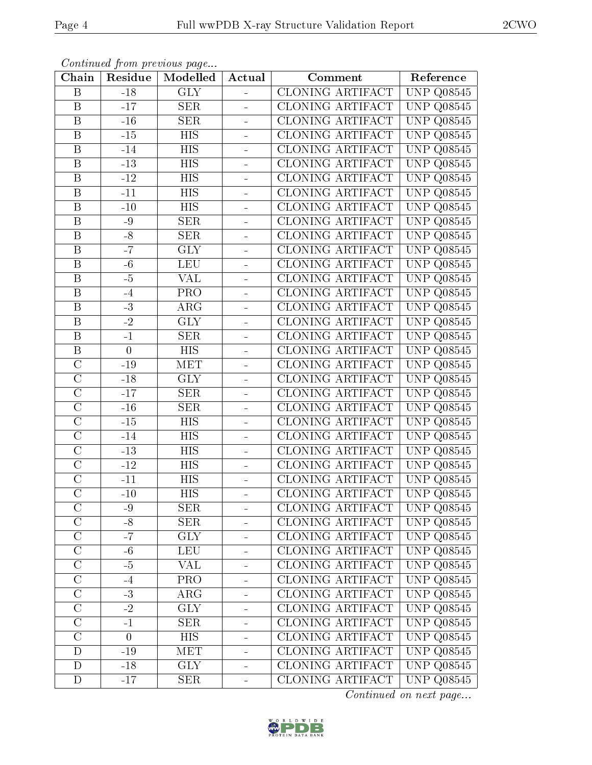| в |  |  |
|---|--|--|
|   |  |  |

| Chain                   | Residue        | Continuation providue puga<br>Modelled | Actual        | Comment                 | Reference                       |
|-------------------------|----------------|----------------------------------------|---------------|-------------------------|---------------------------------|
| B                       | $-18$          | <b>GLY</b>                             |               | <b>CLONING ARTIFACT</b> | $\overline{\text{UNP}}$ Q08545  |
| $\, {\bf B}$            | $-17$          | <b>SER</b>                             |               | CLONING ARTIFACT        | <b>UNP Q08545</b>               |
| $\boldsymbol{B}$        | $-16$          | <b>SER</b>                             |               | <b>CLONING ARTIFACT</b> | $\overline{\text{UNP}}$ Q08545  |
| $\, {\bf B}$            | $-15$          | <b>HIS</b>                             |               | CLONING ARTIFACT        | <b>UNP Q08545</b>               |
| $\overline{\mathrm{B}}$ | $-14$          | $\overline{HIS}$                       | ÷,            | CLONING ARTIFACT        | $\overline{\text{UNP}}$ Q08545  |
| $\, {\bf B}$            | $-13$          | <b>HIS</b>                             |               | <b>CLONING ARTIFACT</b> | <b>UNP Q08545</b>               |
| B                       | $-12$          | HIS                                    |               | <b>CLONING ARTIFACT</b> | <b>UNP Q08545</b>               |
| $\overline{\mathbf{B}}$ | $-11$          | <b>HIS</b>                             |               | CLONING ARTIFACT        | <b>UNP Q08545</b>               |
| $\boldsymbol{B}$        | $-10$          | HIS                                    | ÷,            | CLONING ARTIFACT        | <b>UNP Q08545</b>               |
| $\overline{\mathrm{B}}$ | $-9$           | SER                                    |               | CLONING ARTIFACT        | $\overline{\text{UNP Q08545}}$  |
| B                       | $-8$           | <b>SER</b>                             | ÷             | CLONING ARTIFACT        | UNP<br>Q08545                   |
| $\overline{\mathrm{B}}$ | $-7$           | <b>GLY</b>                             |               | CLONING ARTIFACT        | $\overline{\text{UNP Q08545}}$  |
| B                       | $-6$           | <b>LEU</b>                             | $\frac{1}{2}$ | <b>CLONING ARTIFACT</b> | UNP<br>Q08545                   |
| $\boldsymbol{B}$        | $-5$           | VAL                                    |               | <b>CLONING ARTIFACT</b> | $\overline{\text{UNP}}$ Q08545  |
| $\, {\bf B}$            | $-4$           | <b>PRO</b>                             | $\equiv$      | CLONING ARTIFACT        | $\overline{\text{UNP}}$ Q08545  |
| $\, {\bf B}$            | $-3$           | $\rm{ARG}$                             | ÷,            | <b>CLONING ARTIFACT</b> | <b>UNP Q08545</b>               |
| $\, {\bf B}$            | $-2$           | <b>GLY</b>                             |               | <b>CLONING ARTIFACT</b> | UNP<br>Q08545                   |
| $\, {\bf B}$            | $-1$           | <b>SER</b>                             | ÷.            | CLONING ARTIFACT        | <b>UNP Q08545</b>               |
| $\, {\bf B}$            | $\overline{0}$ | HIS                                    |               | <b>CLONING ARTIFACT</b> | <b>UNP Q08545</b>               |
| $\overline{C}$          | $-19$          | <b>MET</b>                             | ÷             | CLONING ARTIFACT        | $\overline{\text{UNP}}$ Q08545  |
| $\mathcal{C}$           | $-18$          | <b>GLY</b>                             | ÷             | CLONING ARTIFACT        | <b>UNP Q08545</b>               |
| $\overline{C}$          | $-17$          | <b>SER</b>                             |               | <b>CLONING ARTIFACT</b> | <b>UNP Q08545</b>               |
| $\overline{C}$          | $\mbox{-}16$   | <b>SER</b>                             |               | CLONING ARTIFACT        | <b>UNP Q08545</b>               |
| $\overline{C}$          | $-15$          | HIS                                    | ÷,            | CLONING ARTIFACT        | $\overline{\text{UNP}}$ Q08545  |
| $\overline{C}$          | $-14$          | <b>HIS</b>                             |               | CLONING ARTIFACT        | $\overline{\text{UNP Q08545}}$  |
| $\mathcal{C}$           | $\mbox{-}13$   | HIS                                    |               | <b>CLONING ARTIFACT</b> | UNP<br>Q08545                   |
| $\overline{C}$          | $-12$          | <b>HIS</b>                             |               | <b>CLONING ARTIFACT</b> | $\overline{\text{UNP Q}}$ 08545 |
| $\mathcal{C}$           | $-11$          | HIS                                    |               | <b>CLONING ARTIFACT</b> | UNP Q08545                      |
| $\overline{\rm C}$      | $-10$          | $\overline{HIS}$                       |               | <b>CLONING ARTIFACT</b> | <b>UNP Q08545</b>               |
| $\mathcal{C}$           | -9             | <b>SER</b>                             |               | CLONING ARTIFACT        | <b>UNP Q08545</b>               |
| $\mathcal{C}$           | $-8$           | <b>SER</b>                             |               | <b>CLONING ARTIFACT</b> | $\overline{\text{UNP Q}}$ 08545 |
| $\mathcal{C}$           | $-7$           | <b>GLY</b>                             |               | CLONING ARTIFACT        | <b>UNP Q08545</b>               |
| $\mathcal{C}$           | $-6$           | <b>LEU</b>                             |               | CLONING ARTIFACT        | $\overline{\text{UNP}}$ Q08545  |
| $\overline{C}$          | $-5$           | VAL                                    |               | CLONING ARTIFACT        | $\overline{\text{UNP}}$ Q08545  |
| $\mathcal{C}$           | $-4$           | PRO                                    |               | <b>CLONING ARTIFACT</b> | <b>UNP Q08545</b>               |
| $\overline{C}$          | $-3$           | ARG                                    |               | <b>CLONING ARTIFACT</b> | <b>UNP Q08545</b>               |
| $\overline{C}$          | $-2$           | <b>GLY</b>                             |               | <b>CLONING ARTIFACT</b> | <b>UNP Q08545</b>               |
| $\overline{C}$          | $-1$           | <b>SER</b>                             |               | CLONING ARTIFACT        | <b>UNP Q08545</b>               |
| $\overline{C}$          | $\overline{0}$ | <b>HIS</b>                             |               | CLONING ARTIFACT        | $\overline{\text{UNP}}$ Q08545  |
| D                       | $\mbox{-} 19$  | MET                                    |               | <b>CLONING ARTIFACT</b> | <b>UNP Q08545</b>               |
| D                       | $-18$          | <b>GLY</b>                             |               | CLONING ARTIFACT        | $\overline{\text{UNP}}$ Q08545  |
| $\mathbf D$             | $-17$          | <b>SER</b>                             |               | CLONING ARTIFACT        | <b>UNP Q08545</b>               |

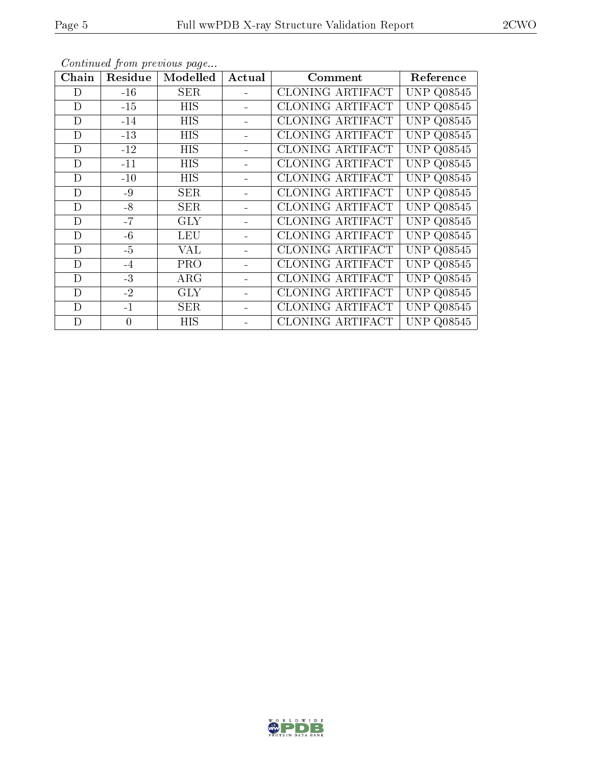| Chain       | Residue        | Modelled    | Actual | Comment                 | Reference         |
|-------------|----------------|-------------|--------|-------------------------|-------------------|
| D           | $-16$          | $\rm{SER}$  |        | CLONING ARTIFACT        | UNP Q08545        |
| D           | $-15$          | <b>HIS</b>  |        | CLONING ARTIFACT        | <b>UNP Q08545</b> |
| D           | $-14$          | HIS         |        | CLONING ARTIFACT        | <b>UNP Q08545</b> |
| D           | $-13$          | <b>HIS</b>  |        | CLONING ARTIFACT        | <b>UNP Q08545</b> |
| D           | $-12$          | <b>HIS</b>  |        | <b>CLONING ARTIFACT</b> | <b>UNP Q08545</b> |
| D           | $-11$          | <b>HIS</b>  |        | CLONING ARTIFACT        | <b>UNP Q08545</b> |
| D           | $-10$          | <b>HIS</b>  |        | CLONING ARTIFACT        | <b>UNP Q08545</b> |
| D           | $-9$           | ${\rm SER}$ |        | <b>CLONING ARTIFACT</b> | <b>UNP Q08545</b> |
| D           | $-8$           | ${\rm SER}$ |        | <b>CLONING ARTIFACT</b> | <b>UNP Q08545</b> |
| D           | $-7$           | GLY         |        | CLONING ARTIFACT        | <b>UNP Q08545</b> |
| $\mathbf D$ | $-6$           | <b>LEU</b>  |        | CLONING ARTIFACT        | <b>UNP Q08545</b> |
| D           | $-5$           | VAL         |        | <b>CLONING ARTIFACT</b> | <b>UNP Q08545</b> |
| D           | $-4$           | <b>PRO</b>  |        | CLONING ARTIFACT        | <b>UNP Q08545</b> |
| D           | $-3$           | $\rm{ARG}$  |        | CLONING ARTIFACT        | <b>UNP Q08545</b> |
| D           | $-2$           | <b>GLY</b>  |        | CLONING ARTIFACT        | <b>UNP Q08545</b> |
| D           | $-1$           | ${\rm SER}$ |        | CLONING ARTIFACT        | <b>UNP Q08545</b> |
| D           | $\overline{0}$ | HIS         |        | CLONING ARTIFACT        | UNP Q08545        |

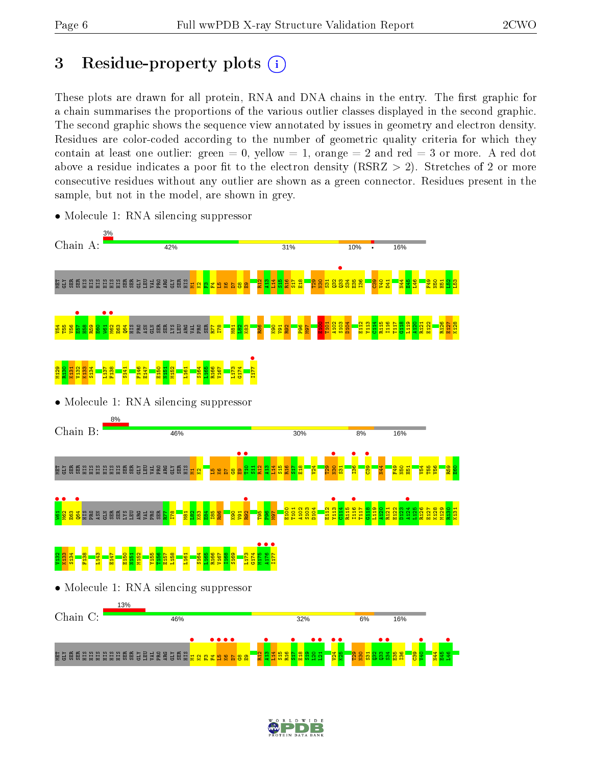# 3 Residue-property plots  $(i)$

These plots are drawn for all protein, RNA and DNA chains in the entry. The first graphic for a chain summarises the proportions of the various outlier classes displayed in the second graphic. The second graphic shows the sequence view annotated by issues in geometry and electron density. Residues are color-coded according to the number of geometric quality criteria for which they contain at least one outlier: green  $= 0$ , yellow  $= 1$ , orange  $= 2$  and red  $= 3$  or more. A red dot above a residue indicates a poor fit to the electron density (RSRZ  $> 2$ ). Stretches of 2 or more consecutive residues without any outlier are shown as a green connector. Residues present in the sample, but not in the model, are shown in grey.



• Molecule 1: RNA silencing suppressor

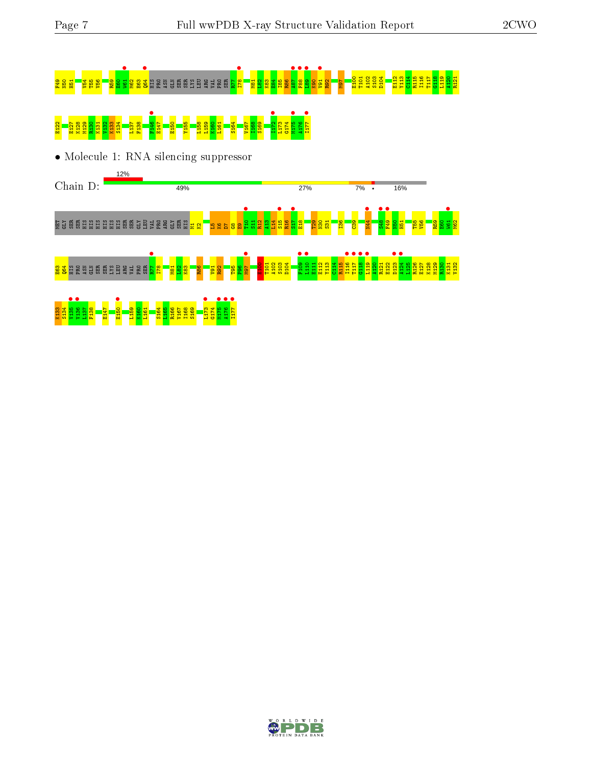# <mark>as de la conserva de la c</mark>onseguna de la conservación de la conservación de la conservación de la conservación d E122 E127 K128 M129 R130 K131 V132 K133 S134 L137 F138 F146 • E147 E150 Y155 L158 L159 K160 L161 S164 V167 I168 S169 I172 • L173 G174 M175 • A176 I177 •

• Molecule 1: RNA silencing suppressor



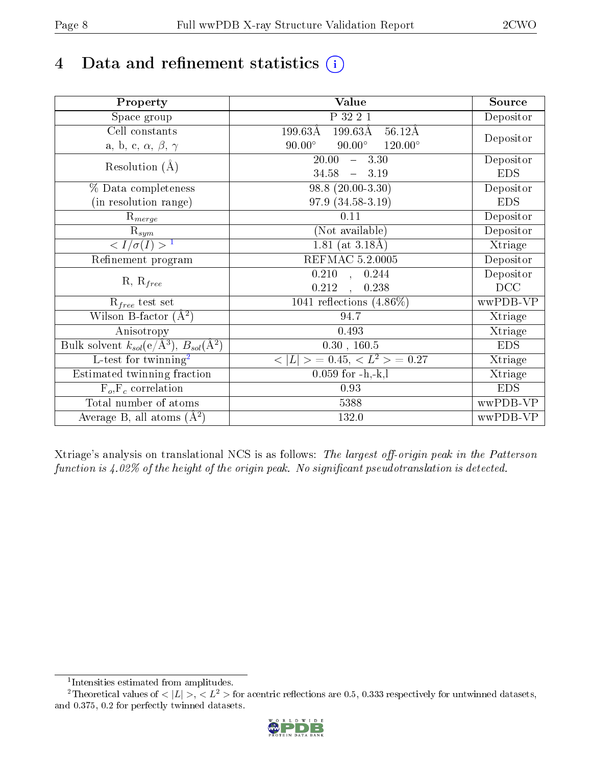# 4 Data and refinement statistics  $(i)$

| Property                                                   | <b>Value</b>                                                  | Source     |
|------------------------------------------------------------|---------------------------------------------------------------|------------|
| Space group                                                | P 32 2 1                                                      | Depositor  |
| Cell constants                                             | $199.63\text{\AA}$<br>$199.63\text{\AA}$<br>$56.12\text{\AA}$ |            |
| a, b, c, $\alpha$ , $\beta$ , $\gamma$                     | $90.00^\circ$<br>$120.00^{\circ}$<br>$90.00^\circ$            | Depositor  |
| Resolution $(A)$                                           | 20.00<br>$-3.30$                                              | Depositor  |
|                                                            | 34.58<br>$-3.19$                                              | <b>EDS</b> |
| % Data completeness                                        | $98.8(20.00-3.30)$                                            | Depositor  |
| (in resolution range)                                      | 97.9 (34.58-3.19)                                             | <b>EDS</b> |
| $R_{merge}$                                                | $0.11\,$                                                      | Depositor  |
| $\mathrm{R}_{sym}$                                         | (Not available)                                               | Depositor  |
| $\langle I/\sigma(I) \rangle^{-1}$                         | 1.81 (at $3.18\text{\AA}$ )                                   | Xtriage    |
| Refinement program                                         | REFMAC 5.2.0005                                               | Depositor  |
|                                                            | $\overline{0.210}$ ,<br>0.244                                 | Depositor  |
| $R, R_{free}$                                              | 0.212<br>0.238                                                | DCC        |
| $R_{free}$ test set                                        | 1041 reflections $(4.86\%)$                                   | wwPDB-VP   |
| Wilson B-factor $(A^2)$                                    | 94.7                                                          | Xtriage    |
| Anisotropy                                                 | 0.493                                                         | Xtriage    |
| Bulk solvent $k_{sol}$ (e/Å <sup>3</sup> ), $B_{sol}(A^2)$ | 0.30, 160.5                                                   | <b>EDS</b> |
| $\overline{L}$ -test for twinning <sup>2</sup>             | $< L >$ = 0.45, $< L2$ > = 0.27                               | Xtriage    |
| Estimated twinning fraction                                | $0.059$ for $-h,-k,l$                                         | Xtriage    |
| $F_o, F_c$ correlation                                     | 0.93                                                          | <b>EDS</b> |
| Total number of atoms                                      | 5388                                                          | wwPDB-VP   |
| Average B, all atoms $(A^2)$                               | 132.0                                                         | wwPDB-VP   |

Xtriage's analysis on translational NCS is as follows: The largest off-origin peak in the Patterson function is  $4.02\%$  of the height of the origin peak. No significant pseudotranslation is detected.

<sup>&</sup>lt;sup>2</sup>Theoretical values of  $\langle |L| \rangle$ ,  $\langle L^2 \rangle$  for acentric reflections are 0.5, 0.333 respectively for untwinned datasets, and 0.375, 0.2 for perfectly twinned datasets.



<span id="page-7-1"></span><span id="page-7-0"></span><sup>1</sup> Intensities estimated from amplitudes.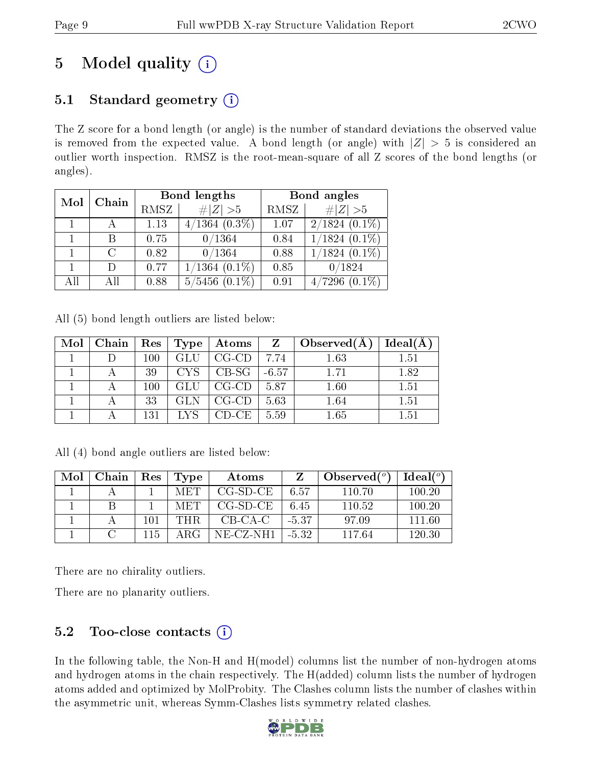# 5 Model quality  $(i)$

# 5.1 Standard geometry  $(i)$

The Z score for a bond length (or angle) is the number of standard deviations the observed value is removed from the expected value. A bond length (or angle) with  $|Z| > 5$  is considered an outlier worth inspection. RMSZ is the root-mean-square of all Z scores of the bond lengths (or angles).

| Mol | Chain         |      | Bond lengths       | Bond angles |                                |  |
|-----|---------------|------|--------------------|-------------|--------------------------------|--|
|     |               | RMSZ | $\# Z  > 5$        | RMSZ        | $\# Z  > 5$                    |  |
|     |               | 1.13 | $4/1364$ $(0.3\%)$ | 1.07        | $2/1824(0.1\%)$                |  |
|     |               | 0.75 | 0/1364             | 0.84        | $1/1824$ $(0.1\%)$             |  |
|     | $\mathcal{C}$ | 0.82 | 0/1364             | 0.88        | $1/1824(0.1\%)$                |  |
|     |               | 0.77 | $1/1364$ $(0.1\%)$ | 0.85        | 0/1824                         |  |
| All |               | 0.88 | $5/5456$ $(0.1\%)$ | 0.91        | $(0.1\%)$<br>$^{\prime}7296$ . |  |

All (5) bond length outliers are listed below:

| Mol | ∣ Chain | $+$ Res $+$ | Type <sup>1</sup> | $_4$ Atoms $^+$ | $\mathbf{Z}$ | Observed $(A)$ | $Ideal(\AA)$ |
|-----|---------|-------------|-------------------|-----------------|--------------|----------------|--------------|
|     |         | 100         | GLU               | $CG-CD$         | 7.74         | 1.63           | 1.51         |
|     |         | 39          | CYS –             | ' CB-SG         | $-6.57$      | 1 71           | 1.82         |
|     |         | $100\,$     | GLU               | $CG-CD$         | 5.87         | 1.60           | 1.51         |
|     |         | 33          | GL N              | $CG$ - $CD$     | 5.63         | 1.64           | 1.51         |
|     |         | 131         |                   | CD-CE-          | 5.59         | 1.65           | 1.51         |

All (4) bond angle outliers are listed below:

| Mol | Chain | Res | Type       | Atoms                 |       | Observed $(°)$ | Ideal $(^\circ)$ |
|-----|-------|-----|------------|-----------------------|-------|----------------|------------------|
|     |       |     | MET.       | $CG-SD-CE$            | 6.57  | 110.70         | 100.20           |
|     |       |     | <b>MET</b> | CG-SD-CE              | 6.45  | 110.52         | 100.20           |
|     |       | 101 | THR.       | CB-CA-C               | -5.37 | 97.09          | 111.60           |
|     |       | 115 | ARG        | $NE-CL-NH1$   $-5.32$ |       | 117.64         | 120.30           |

There are no chirality outliers.

There are no planarity outliers.

## 5.2 Too-close contacts  $(i)$

In the following table, the Non-H and H(model) columns list the number of non-hydrogen atoms and hydrogen atoms in the chain respectively. The H(added) column lists the number of hydrogen atoms added and optimized by MolProbity. The Clashes column lists the number of clashes within the asymmetric unit, whereas Symm-Clashes lists symmetry related clashes.

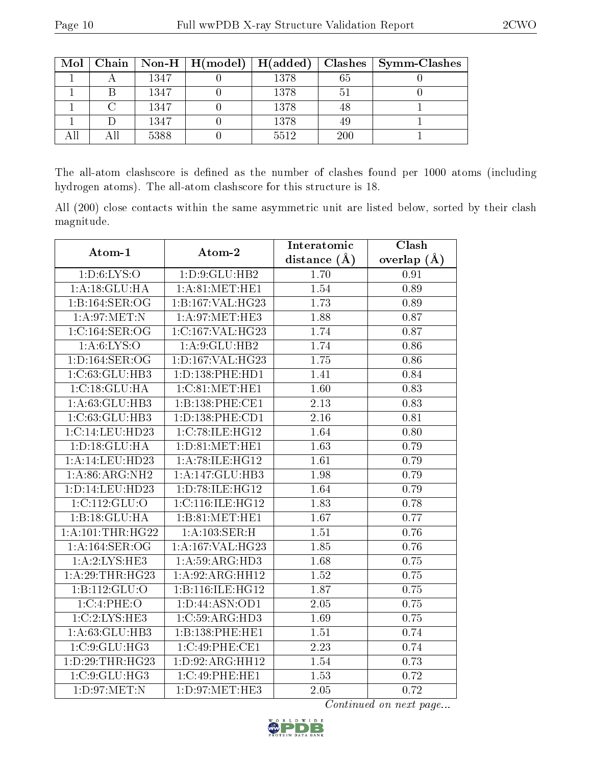| Mol |      | $\mid$ Chain $\mid$ Non-H $\mid$ H(model) $\mid$ H(added) |      |     | $Class   Symm-Class$ |
|-----|------|-----------------------------------------------------------|------|-----|----------------------|
|     | 1347 |                                                           | 1378 | 65  |                      |
|     | 1347 |                                                           | 1378 | 5.  |                      |
|     | 1347 |                                                           | 1378 | 48  |                      |
|     | 1347 |                                                           | 1378 | 49  |                      |
|     | 5388 |                                                           | 5512 | 200 |                      |

The all-atom clashscore is defined as the number of clashes found per 1000 atoms (including hydrogen atoms). The all-atom clashscore for this structure is 18.

All (200) close contacts within the same asymmetric unit are listed below, sorted by their clash magnitude.

| Atom-1                              | Atom-2              | Clash<br>Interatomic |                 |
|-------------------------------------|---------------------|----------------------|-----------------|
|                                     |                     | distance $(A)$       | overlap $(\AA)$ |
| $1: D:6: \overline{\text{LYS:O}}$   | 1:D:9:GLU:HB2       | 1.70                 | 0.91            |
| 1:A:18:GLU:HA                       | 1: A:81: MET:HE1    | 1.54                 | 0.89            |
| 1:B:164:SER:OG                      | 1:B:167:VAL:HG23    | 1.73                 | 0.89            |
| 1: A:97: MET:N                      | 1: A:97: MET:HE3    | 1.88                 | 0.87            |
| 1: C: 164: SER: OG                  | 1:C:167:VAL:HG23    | 1.74                 | 0.87            |
| 1: A:6: LYS:O                       | 1: A:9: GLU: HB2    | 1.74                 | 0.86            |
| 1: D: 164: SER: OG                  | 1:D:167:VAL:HG23    | 1.75                 | 0.86            |
| 1:C:63:GLU:HB3                      | 1: D: 138: PHE: HD1 | 1.41                 | 0.84            |
| 1:C:18:GLU:HA                       | 1:C:81:MET:HE1      | 1.60                 | 0.83            |
| 1:A:63:GLU:HB3                      | 1:B:138:PHE:CE1     | 2.13                 | 0.83            |
| 1:C:63:GLU:HB3                      | 1:D:138:PHE:CD1     | $\overline{2}.16$    | 0.81            |
| 1:C:14:LEU:HD23                     | 1:C:78:ILE:HG12     | 1.64                 | 0.80            |
| 1: D: 18: GLU: HA                   | 1: D:81: MET:HE1    | $\overline{1.63}$    | 0.79            |
| 1:A:14:LEU:HD23                     | 1:A:78:ILE:HG12     | 1.61                 | 0.79            |
| 1:A:86:ARG:NH2                      | 1:A:147:GLU:HB3     | 1.98                 | 0.79            |
| 1: D: 14: LEU: HD23                 | 1:D:78:ILE:HG12     | 1.64                 | 0.79            |
| $1:C:112:G\overline{\mathrm{LU}:O}$ | 1:C:116:ILE:HG12    | 1.83                 | 0.78            |
| 1:B:18:GLU:HA                       | 1:B:81:MET:HE1      | 1.67                 | 0.77            |
| 1: A: 101:THR: HG22                 | 1: A: 103: SER:H    | 1.51                 | 0.76            |
| 1:A:164:SER:OG                      | 1:A:167:VAL:HG23    | 1.85                 | 0.76            |
| 1:A:2:LYS:HE3                       | 1: A:59: ARG:HD3    | 1.68                 | 0.75            |
| 1:A:29:THR:HG23                     | 1:A:92:ARG:HH12     | 1.52                 | 0.75            |
| 1:B:112:GLU:O                       | 1:B:116:ILE:HG12    | 1.87                 | 0.75            |
| 1:C:4:PHE:O                         | 1:D:44:ASN:OD1      | 2.05                 | 0.75            |
| 1:C:2:LYS:HE3                       | 1:C:59:ARG:HD3      | 1.69                 | 0.75            |
| 1:A:63:GLU:HB3                      | 1:B:138:PHE:HE1     | 1.51                 | 0.74            |
| 1:C:9:GLU:HG3                       | 1:C:49:PHE:CE1      | 2.23                 | 0.74            |
| 1:D:29:THR:HG23                     | 1:D:92:ARG:HH12     | 1.54                 | 0.73            |
| 1:C:9:GLU:HG3                       | 1:C:49:PHE:HE1      | 1.53                 | 0.72            |
| 1: D: 97: MET: N                    | 1:D:97:MET:HE3      | 2.05                 | 0.72            |

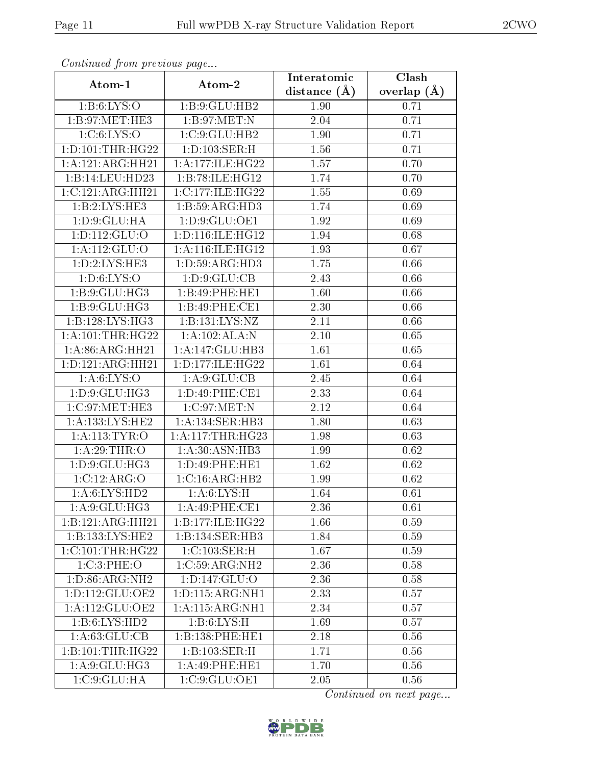| Communa from previous page |                     | Interatomic    | Clash         |  |
|----------------------------|---------------------|----------------|---------------|--|
| Atom-1                     | Atom-2              | distance $(A)$ | overlap $(A)$ |  |
| 1: B:6: LYS:O              | 1:B:9:GLU:HB2       | 1.90           | 0.71          |  |
| 1: B:97: MET:HE3           | 1: B:97: MET:N      | 2.04           | 0.71          |  |
| 1: C: 6: LYS: O            | 1:C:9:GLU:HB2       | 1.90           | 0.71          |  |
| 1: D: 101: THR: HG22       | 1: D: 103: SER:H    | 1.56           | 0.71          |  |
| 1:A:121:ARG:HH21           | 1: A:177: ILE: HG22 | 1.57           | 0.70          |  |
| 1:B:14:LEU:HD23            | 1:B:78:ILE:HG12     | 1.74           | 0.70          |  |
| 1:C:121:ARG:HH21           | 1:C:177:ILE:HG22    | 1.55           | 0.69          |  |
| 1:B:2:LYS:HE3              | 1:B:59:ARG:HD3      | 1.74           | 0.69          |  |
| 1: D.9: GLU: HA            | 1: D: 9: GLU: OE1   | 1.92           | 0.69          |  |
| 1: D: 112: GLU: O          | 1:D:116:ILE:HG12    | 1.94           | 0.68          |  |
| 1:A:112:GLU:O              | 1:A:116:ILE:HG12    | 1.93           | 0.67          |  |
| 1: D: 2: LYS: HE3          | 1: D:59: ARG:HD3    | 1.75           | 0.66          |  |
| 1: D:6: LYS:O              | 1: D.9: GLU: CB     | 2.43           | 0.66          |  |
| 1: B: 9: GLU: HG3          | 1:B:49:PHE:HE1      | 1.60           | 0.66          |  |
| 1:B:9:GLU:HG3              | 1:B:49:PHE:CE1      | 2.30           | 0.66          |  |
| 1:B:128:LYS:HG3            | 1:B:131:LYS:NZ      | 2.11           | 0.66          |  |
| 1:A:101:THR:HG22           | 1:A:102:ALA:N       | $2.10\,$       | 0.65          |  |
| 1: A:86: ARG: HH21         | 1:A:147:GLU:HB3     | 1.61           | 0.65          |  |
| 1:D:121:ARG:HH21           | 1:D:177:ILE:HG22    | 1.61           | 0.64          |  |
| 1: A:6: LYS:O              | 1: A:9: GLU:CB      | 2.45           | 0.64          |  |
| 1: D: 9: GLU: HG3          | 1:D:49:PHE:CE1      | 2.33           | 0.64          |  |
| 1:C:97:MET:HE3             | 1: C:97: MET:N      | 2.12           | 0.64          |  |
| 1: A: 133: LYS: HE2        | 1: A:134: SER:HB3   | 1.80           | 0.63          |  |
| 1: A:113: TYR: O           | 1: A:117:THR:HG23   | 1.98           | 0.63          |  |
| 1: A:29:THR:O              | 1: A:30: ASN:HB3    | 1.99           | 0.62          |  |
| 1:D:9:GLU:HG3              | 1:D:49:PHE:HE1      | 1.62           | $0.62\,$      |  |
| 1:C:12:ARG:O               | 1:C:16:ARG:HB2      | 1.99           | 0.62          |  |
| 1: A:6: LYS: HD2           | 1: A:6: LYS:H       | 1.64           | 0.61          |  |
| $1:A:\overline{9:GLU:HG3}$ | 1:A:49:PHE:CE1      | 2.36           | 0.61          |  |
| 1:B:121:ARG:HH21           | 1:B:177:ILE:HG22    | 1.66           | 0.59          |  |
| 1:B:133:LYS:HE2            | 1:B:134:SER:HB3     | 1.84           | 0.59          |  |
| 1:C:101:THR:HG22           | 1:C:103:SER:H       | 1.67           | 0.59          |  |
| 1:C:3:PHE:O                | 1:C:59:ARG:NH2      | 2.36           | 0.58          |  |
| 1: D:86: ARG: NH2          | 1:D:147:GLU:O       | 2.36           | 0.58          |  |
| 1: D: 112: GLU: OE2        | 1: D: 115: ARG: NH1 | 2.33           | 0.57          |  |
| 1:A:112:GLU:OE2            | 1:A:115:ARG:NH1     | 2.34           | 0.57          |  |
| 1:B:6:LYS:HD2              | 1: B:6: LYS:H       | 1.69           | 0.57          |  |
| $1:\overline{A:63:GLU:CB}$ | 1:B:138:PHE:HE1     | 2.18           | 0.56          |  |
| 1:B:101:THR:HG22           | 1:B:103:SER:H       | 1.71           | 0.56          |  |
| 1: A:9: GLU: HG3           | 1:A:49:PHE:HE1      | 1.70           | 0.56          |  |
| 1:C:9:GLU:HA               | 1:C:9:GLU:OE1       | 2.05           | 0.56          |  |

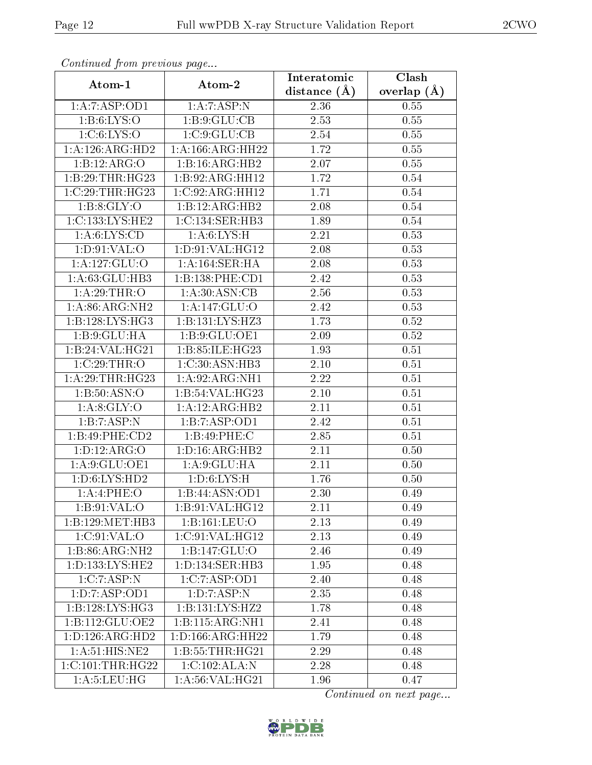| Commaca from previous page |                             | Interatomic      | Clash         |
|----------------------------|-----------------------------|------------------|---------------|
| Atom-1                     | Atom-2                      | distance $(\AA)$ | overlap $(A)$ |
| 1:A:7:ASP:OD1              | 1:A:7:ASP:N                 | 2.36             | 0.55          |
| 1: B:6: LYS:O              | 1:B:9:GLU:CB                | 2.53             | 0.55          |
| 1: C: 6: LYS: O            | 1:C:9:GLU:CB                | 2.54             | 0.55          |
| 1:A:126:ARG:HD2            | 1: A: 166: ARG: HH22        | 1.72             | 0.55          |
| 1:B:12:ARG:O               | $1:B:16:A\overline{RG:H}B2$ | 2.07             | 0.55          |
| 1:B:29:THR:HG23            | 1:B:92:ARG:HH12             | 1.72             | 0.54          |
| 1:C:29:THR:HG23            | 1:C:92:ARG:HH12             | 1.71             | 0.54          |
| 1: B: 8: GLY: O            | 1:B:12:ARG:HB2              | 2.08             | 0.54          |
| 1:C:133:LYS:HE2            | 1: C: 134: SER: HB3         | 1.89             | 0.54          |
| 1: A:6: LYS:CD             | 1: A:6: LYS:H               | 2.21             | 0.53          |
| 1: D.91: VAL:O             | 1: D:91: VAL: HG12          | 2.08             | 0.53          |
| 1: A: 127: GLU:O           | 1:A:164:SER:HA              | 2.08             | 0.53          |
| 1:A:63:GLU:HB3             | 1:B:138:PHE:CD1             | 2.42             | 0.53          |
| 1: A:29:THR:O              | 1: A:30: ASN: CB            | 2.56             | 0.53          |
| 1: A:86: ARG: NH2          | 1:A:147:GLU:O               | 2.42             | 0.53          |
| 1:B:128:LYS:HG3            | 1:B:131:LYS:HZ3             | 1.73             | 0.52          |
| 1: B: 9: GLU: HA           | 1:B:9:GLU:OE1               | 2.09             | 0.52          |
| 1:B:24:VAL:HG21            | 1:B:85:ILE:HG23             | 1.93             | 0.51          |
| 1:C:29:THR:O               | 1: C:30: ASN: HB3           | $2.10\,$         | 0.51          |
| 1:A:29:THR:HG23            | 1: A:92: ARG:NH1            | 2.22             | 0.51          |
| 1:B:50:ASN:O               | 1:B:54:VAL:HG23             | 2.10             | 0.51          |
| 1: A:8: GLY:O              | 1: A: 12: ARG: HB2          | 2.11             | 0.51          |
| 1:B:7:ASP:N                | 1:B:7:ASP:OD1               | 2.42             | 0.51          |
| 1:B:49:PHE:CD2             | 1:B:49:PHE:C                | 2.85             | 0.51          |
| 1: D: 12: ARG: O           | 1: D: 16: ARG: HB2          | 2.11             | 0.50          |
| 1:A:9:GLU:OE1              | 1: A:9: GLU: HA             | 2.11             | 0.50          |
| 1: D:6: LYS: HD2           | 1: D:6: LYS:H               | 1.76             | 0.50          |
| 1:A:4:PHE:O                | 1:B:44:ASN:OD1              | 2.30             | 0.49          |
| 1: B:91: VAL:O             | 1: B:91: VAL:HG12           | 2.11             | 0.49          |
| 1:B:129:MET:HB3            | 1:B:161:LEU:O               | 2.13             | 0.49          |
| 1:C:91:VAL:O               | 1:C:91:VAL:HG12             | 2.13             | 0.49          |
| 1:B:86:ARG:NH2             | 1:B:147:GLU:O               | 2.46             | 0.49          |
| 1:D:133:LYS:HE2            | 1:D:134:SER:HB3             | 1.95             | 0.48          |
| 1:C:7:ASP:N                | 1:C:7:ASP:OD1               | 2.40             | 0.48          |
| 1:D:7:ASP:OD1              | 1:D:7:ASP:N                 | 2.35             | 0.48          |
| 1:B:128:LYS:HG3            | 1:B:131:LYS:HZ2             | 1.78             | 0.48          |
| 1:B:112:GLU:OE2            | 1:B:115:ARG:NH1             | 2.41             | 0.48          |
| 1: D: 126: ARG: HD2        | 1: D: 166: ARG: HH22        | 1.79             | 0.48          |
| 1: A:51: HIS: NE2          | 1: B: 55: THR: HG21         | 2.29             | 0.48          |
| 1:C:101:THR:HG22           | 1:C:102:ALA:N               | 2.28             | 0.48          |
| 1: A: 5: LEU: HG           | 1: A:56: VAL:HG21           | 1.96             | 0.47          |

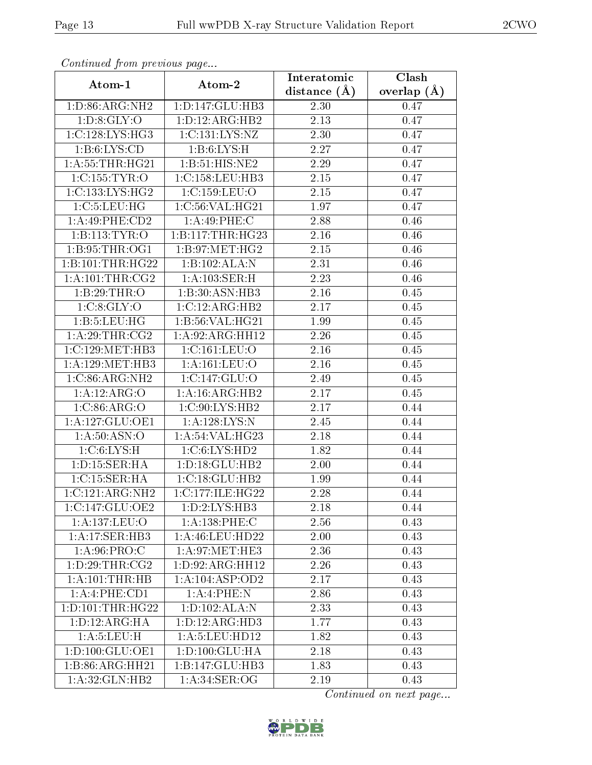| Continuea from previous page |                     | Interatomic       | Clash           |  |
|------------------------------|---------------------|-------------------|-----------------|--|
| Atom-1                       | Atom-2              | distance $(A)$    | overlap $(\AA)$ |  |
| 1: D:86: ARG: NH2            | 1: D: 147: GLU: HB3 | 2.30              | 0.47            |  |
| 1: D: 8: GLY: O              | 1: D: 12: ARG: HB2  | $\overline{2.13}$ | 0.47            |  |
| 1:C:128:LYS:HG3              | 1:C:131:LYS:NZ      | 2.30              | 0.47            |  |
| 1: B: 6: LYS: CD             | 1: B:6: LYS:H       | 2.27              | 0.47            |  |
| 1:A:55:THR:HG21              | 1: B:51: HIS: NE2   | 2.29              | 0.47            |  |
| 1:C:155:TYR:O                | 1:C:158:LEU:HB3     | 2.15              | 0.47            |  |
| 1:C:133:LYS:HG2              | 1:C:159:LEU:O       | 2.15              | 0.47            |  |
| 1:C:5:LEU:HG                 | 1:C:56:VAL:HG21     | 1.97              | 0.47            |  |
| 1: A:49:PHE:CD2              | 1: A:49:PHE: C      | 2.88              | 0.46            |  |
| 1:B:113:TYR:O                | 1:B:117:THR:HG23    | 2.16              | 0.46            |  |
| 1:B:95:THR:OG1               | 1:B:97:MET:HG2      | 2.15              | 0.46            |  |
| 1:B:101:THR:HG22             | 1:B:102:ALA:N       | $\overline{2.31}$ | 0.46            |  |
| 1: A: 101: THE: CG2          | 1: A:103: SER:H     | 2.23              | 0.46            |  |
| 1:B:29:THR:O                 | 1:B:30:ASN:HB3      | 2.16              | 0.45            |  |
| 1:C:8:GLY:O                  | 1:C:12:ARG:HB2      | 2.17              | 0.45            |  |
| 1:B:5:LEU:HG                 | 1:B:56:VAL:HG21     | 1.99              | 0.45            |  |
| 1: A:29:THR:CG2              | 1:A:92:ARG:HH12     | 2.26              | 0.45            |  |
| 1:C:129:MET:HB3              | 1:C:161:LEU:O       | 2.16              | 0.45            |  |
| 1: A:129:MET:HB3             | 1: A: 161: LEU: O   | 2.16              | 0.45            |  |
| 1:C:86:ARG:NH2               | 1:C:147:GLU:O       | 2.49              | 0.45            |  |
| 1:A:12:ARG:O                 | 1: A:16: ARG: HB2   | 2.17              | 0.45            |  |
| 1: C:86: ARG:O               | 1:C:90:LYS:HB2      | 2.17              | 0.44            |  |
| 1:A:127:GLU:OE1              | 1: A: 128: LYS:N    | 2.45              | 0.44            |  |
| 1: A:50: ASN:O               | 1: A:54:VAL:HG23    | $\overline{2}.18$ | 0.44            |  |
| 1:C:6:LYS:H                  | 1:C:6:LYS:HD2       | 1.82              | 0.44            |  |
| 1: D: 15: SER: HA            | 1: D: 18: GLU: HB2  | 2.00              | 0.44            |  |
| 1:C:15:SER:HA                | 1:C:18:GLU:HB2      | 1.99              | 0.44            |  |
| 1:C:121:ARG:NH2              | 1:C:177:ILE:HG22    | 2.28              | 0.44            |  |
| 1:C:147:GLU:OE2              | 1: D: 2: LYS: HB3   | 2.18              | 0.44            |  |
| 1:A:137:LEU:O                | 1:A:138:PHE:C       | 2.56              | 0.43            |  |
| 1:A:17:SER:HB3               | 1: A:46:LEU:HD22    | 2.00              | 0.43            |  |
| 1: A.96: PRO:C               | 1: A:97: MET:HE3    | 2.36              | 0.43            |  |
| 1: D: 29: THR: CG2           | 1:D:92:ARG:HH12     | 2.26              | 0.43            |  |
| 1:A:101:THR:HB               | 1:A:104:ASP:OD2     | 2.17              | 0.43            |  |
| 1:A:4:PHE:CD1                | 1:A:4:PHE:N         | 2.86              | 0.43            |  |
| 1: D: 101: THR: HG22         | 1: D: 102: ALA: N   | 2.33              | 0.43            |  |
| 1: D: 12: ARG: HA            | 1: D: 12: ARG: HD3  | 1.77              | 0.43            |  |
| 1: A: 5: LEU: H              | 1: A: 5: LEU: HD12  | 1.82              | 0.43            |  |
| 1: D: 100: GLU: OE1          | 1: D: 100: GLU: HA  | 2.18              | 0.43            |  |
| $1:B:86:A\overline{RG:HH21}$ | 1:B:147:GLU:HB3     | 1.83              | 0.43            |  |
| 1:A:32:GLN:HB2               | 1: A:34: SER:OG     | 2.19              | 0.43            |  |

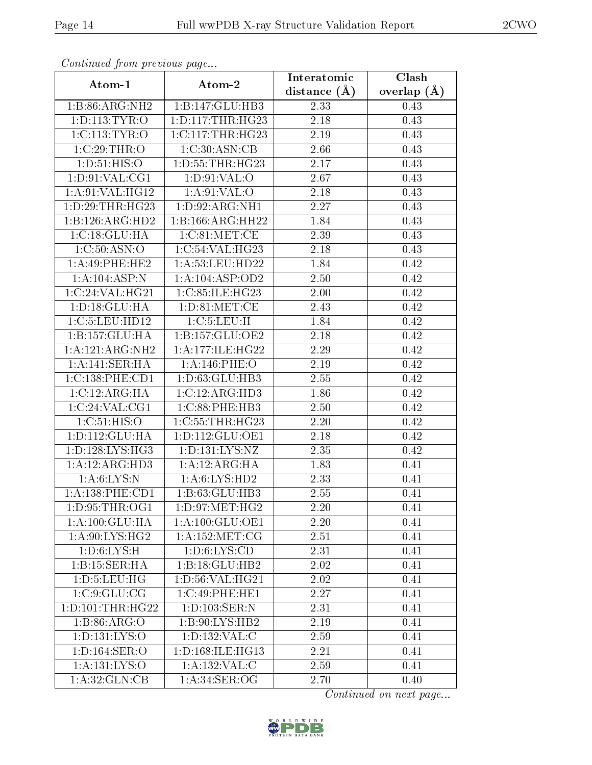| Comunaca jiom previous page |                      | Interatomic       | Clash           |  |
|-----------------------------|----------------------|-------------------|-----------------|--|
| Atom-1                      | Atom-2               | distance $(A)$    | overlap $(\AA)$ |  |
| 1:B:86:ARG:NH2              | 1:B:147:GLU:HB3      | 2.33              | 0.43            |  |
| 1: D: 113: TYR: O           | 1: D: 117: THR: HG23 | $\overline{2.18}$ | 0.43            |  |
| 1:CI13:TYR:O                | 1:C:117:THR:HG23     | 2.19              | 0.43            |  |
| $1:C:29$ : THR: O           | 1:C:30:ASN:CB        | 2.66              | 0.43            |  |
| 1: D:51: HIS:O              | 1: D: 55: THR: HG23  | 2.17              | 0.43            |  |
| 1: D:91: VAL:CG1            | 1: D:91: VAL:O       | 2.67              | 0.43            |  |
| 1: A:91: VAL:HG12           | 1: A:91:VAL:O        | 2.18              | 0.43            |  |
| 1: D: 29: THR: HG23         | 1: D:92: ARG: NH1    | 2.27              | 0.43            |  |
| 1:B:126:ARG:HD2             | 1:B:166:ARG:HH22     | 1.84              | 0.43            |  |
| 1:C:18:GLU:HA               | 1:C:81:MET:CE        | 2.39              | 0.43            |  |
| 1: C:50: ASN:O              | 1:C:54:VAL:HG23      | 2.18              | 0.43            |  |
| 1:A:49:PHE:HE2              | 1:A:53:LEU:HD22      | 1.84              | 0.42            |  |
| 1: A: 104: ASP: N           | 1:A:104:ASP:OD2      | 2.50              | 0.42            |  |
| 1:C:24:VAL:HG21             | 1:C:85:ILE:HG23      | 2.00              | 0.42            |  |
| 1: D: 18: GLU: HA           | 1:D:81:MET:CE        | 2.43              | 0.42            |  |
| 1:C:5:LEU:HD12              | 1:C:5:LEU:H          | 1.84              | 0.42            |  |
| 1:B:157:GLU:HA              | 1:B:157:GLU:OE2      | 2.18              | 0.42            |  |
| 1:A:121:ARG:NH2             | 1:A:177:ILE:HG22     | 2.29              | 0.42            |  |
| 1:A:141:SER:HA              | 1:A:146:PHE:O        | 2.19              | 0.42            |  |
| 1:C:138:PHE:CD1             | 1: D: 63: GLU: HB3   | 2.55              | 0.42            |  |
| 1:C:12:ARG:HA               | 1:C:12:ARG:HD3       | 1.86              | 0.42            |  |
| 1:C:24:VAL:CG1              | 1:C:88:PHE:HB3       | 2.50              | 0.42            |  |
| 1:C:51:HIS:O                | 1:C:55:THR:HG23      | 2.20              | 0.42            |  |
| 1:D:112:GLU:HA              | 1: D: 112: GLU: OE1  | 2.18              | 0.42            |  |
| 1: D: 128: LYS: HG3         | 1:D:131:LYS:NZ       | 2.35              | 0.42            |  |
| 1:A:12:ARG:HD3              | 1:A:12:ARG:HA        | 1.83              | 0.41            |  |
| 1: A:6: LYS:N               | 1: A:6: LYS: HD2     | 2.33              | 0.41            |  |
| 1:A:138:PHE:CD1             | 1: B: 63: GLU: HB3   | 2.55              | 0.41            |  |
| 1:D:95:THR:OG1              | 1: D: 97: MET: HG2   | 2.20              | 0.41            |  |
| 1: A: 100: GLU: HA          | 1: A:100: GLU:OE1    | 2.20              | 0.41            |  |
| 1: A:90: LYS: HG2           | 1: A: 152: MET: CG   | 2.51              | 0.41            |  |
| 1: D:6: LYS:H               | 1: D:6: LYS: CD      | 2.31              | 0.41            |  |
| 1:B:15:SER:HA               | 1:B:18:GLU:HB2       | 2.02              | 0.41            |  |
| 1: D: 5: LEU: HG            | 1: D:56: VAL:HG21    | 2.02              | 0.41            |  |
| 1:C:9:GLU:CG                | 1:C:49:PHE:HE1       | 2.27              | 0.41            |  |
| 1: D: 101: THR: HG22        | 1: D: 103: SER: N    | 2.31              | 0.41            |  |
| 1:B:86:ARG:O                | 1:B:90:LYS:HB2       | 2.19              | 0.41            |  |
| 1:D:131:LYS:O               | 1:D:132:VAL:C        | 2.59              | 0.41            |  |
| 1: D: 164: SER: O           | 1: D: 168: ILE: HG13 | 2.21              | 0.41            |  |
| 1: A: 131: LYS: O           | 1: A: 132: VAL: C    | 2.59              | 0.41            |  |
| 1: A:32: GLN: CB            | 1: A:34: SER:OG      | 2.70              | 0.40            |  |

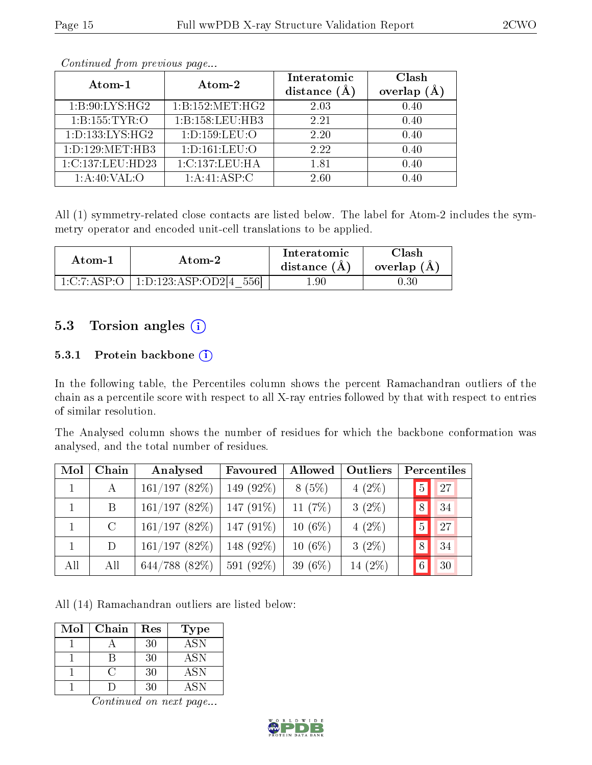| Atom-1              | Atom-2             | Interatomic<br>distance $(A)$ | Clash<br>overlap |
|---------------------|--------------------|-------------------------------|------------------|
| 1: B:90: LYS: HG2   | 1: B: 152: MET:HG2 | 2.03                          | 0.40             |
| 1:B:155:TYR:O       | 1:B:158:LEU:HB3    | 2.21                          | 0.40             |
| 1: D: 133: LYS: HG2 | 1: D: 159: LEU: O  | 2.20                          | 0.40             |
| 1: D: 129: MET: HB3 | 1: D: 161: LEU: O  | 2.22                          | 0.40             |
| 1:C:137:LEU:HD23    | 1:C:137:LEU:HA     | 1.81                          | 0.40             |
| 1: A:40:VAL:O       | 1: A:41: ASP:C     | 2.60                          | $0.40\,$         |

All (1) symmetry-related close contacts are listed below. The label for Atom-2 includes the symmetry operator and encoded unit-cell translations to be applied.

| Atom-1           | Atom-2                         | <b>Interatomic</b><br>distance $(A)$ | 7lash.<br>overlap (A) |
|------------------|--------------------------------|--------------------------------------|-----------------------|
| $-1$ :C:7:ASP·O- | 1: D: 123: ASP: OD214<br>.5561 | .90                                  | U.30                  |

## 5.3 Torsion angles (i)

#### 5.3.1 Protein backbone (i)

In the following table, the Percentiles column shows the percent Ramachandran outliers of the chain as a percentile score with respect to all X-ray entries followed by that with respect to entries of similar resolution.

The Analysed column shows the number of residues for which the backbone conformation was analysed, and the total number of residues.

| Mol | Chain         | Analysed           | Favoured     | Allowed    | Outliers  |                | Percentiles |
|-----|---------------|--------------------|--------------|------------|-----------|----------------|-------------|
|     | А             | 161/197(82%)       | 149 $(92\%)$ | 8(5%)      | $4(2\%)$  | 5              | 27          |
|     | B             | 161/197(82%)       | $147(91\%)$  | 11 $(7%)$  | $3(2\%)$  | 8              | 34          |
|     | $\mathcal{C}$ | 161/197(82%)       | $147(91\%)$  | $10(6\%)$  | $4(2\%)$  | $\overline{5}$ | 27          |
|     | D             | 161/197(82%)       | 148 (92\%)   | $10(6\%)$  | $3(2\%)$  | 8              | 34          |
| All | All           | $644/788$ $(82\%)$ | 591 (92%)    | 39 $(6\%)$ | 14 $(2%)$ |                | 30          |

All (14) Ramachandran outliers are listed below:

| Mol | Chain | Res | Type             |
|-----|-------|-----|------------------|
|     |       | 30  | $AS\overline{N}$ |
|     |       | 30  | <b>ASN</b>       |
|     |       | 30  | <b>ASN</b>       |
|     |       | 30  | A SN             |

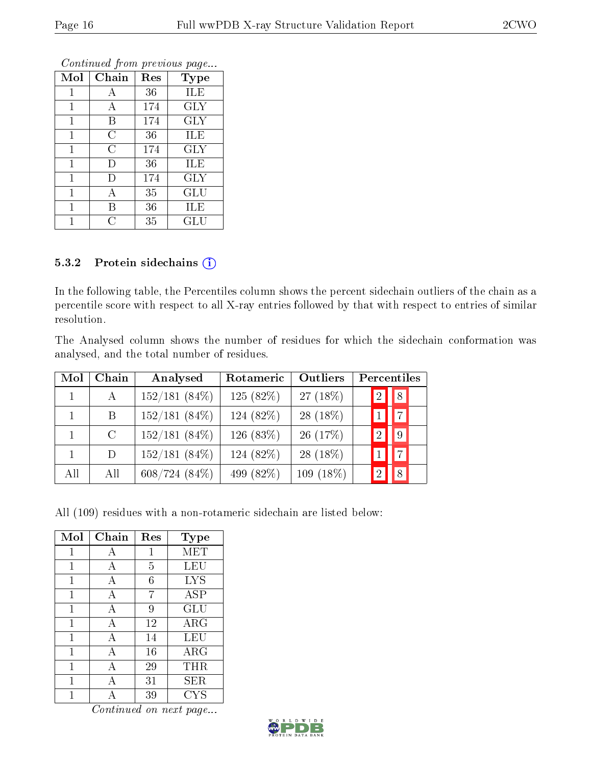|              | v              | ×.  |                      |
|--------------|----------------|-----|----------------------|
| Mol          | Chain          | Res | Type                 |
| 1            | А              | 36  | <b>ILE</b>           |
| 1            | А              | 174 | <b>GLY</b>           |
| $\mathbf{1}$ | Β              | 174 | <b>GLY</b>           |
| $\mathbf{1}$ | $\overline{C}$ | 36  | ILE                  |
| 1            | $\overline{C}$ | 174 | <b>GLY</b>           |
| 1            | D              | 36  | ILE                  |
| $\mathbf{1}$ | D              | 174 | <b>GLY</b>           |
| 1            | А              | 35  | GLU                  |
| 1            | В              | 36  | ILE                  |
| 1            | 8              | 35  | $\operatorname{GLU}$ |

#### 5.3.2 Protein sidechains (i)

In the following table, the Percentiles column shows the percent sidechain outliers of the chain as a percentile score with respect to all X-ray entries followed by that with respect to entries of similar resolution.

The Analysed column shows the number of residues for which the sidechain conformation was analysed, and the total number of residues.

| Mol | Chain         | Analysed        | Rotameric   | Outliers    |   | Percentiles    |
|-----|---------------|-----------------|-------------|-------------|---|----------------|
|     | $\mathbf{A}$  | $152/181(84\%)$ | 125 $(82%)$ | 27 $(18\%)$ | 2 | 8              |
|     | B.            | $152/181(84\%)$ | 124 (82\%)  | 28 $(18\%)$ |   | 71             |
|     | $\mathcal{C}$ | $152/181(84\%)$ | 126 (83%)   | 26(17%)     |   | 9              |
|     | $\Box$        | $152/181(84\%)$ | 124 (82%)   | 28 $(18\%)$ |   | $\overline{7}$ |
| All | All           | $608/724(84\%)$ | 499 (82\%)  | $109(18\%)$ |   |                |

All (109) residues with a non-rotameric sidechain are listed below:

| Mol | Chain | Res | <b>Type</b>                    |
|-----|-------|-----|--------------------------------|
| 1   | А     | 1   | MET                            |
| 1   | А     | 5   | LEU                            |
| 1   | А     | 6   | <b>LYS</b>                     |
| 1   | А     | 7   | $\overline{\text{A}}\text{SP}$ |
| 1   | А     | 9   | GLU                            |
| 1   | А     | 12  | $\rm{ARG}$                     |
| 1   | A     | 14  | LEU                            |
| 1   | A     | 16  | ARG                            |
| 1   | A     | 29  | THR                            |
| 1   | А     | 31  | <b>SER</b>                     |
|     |       | 39  | $_{\mathrm{CYS}}$              |

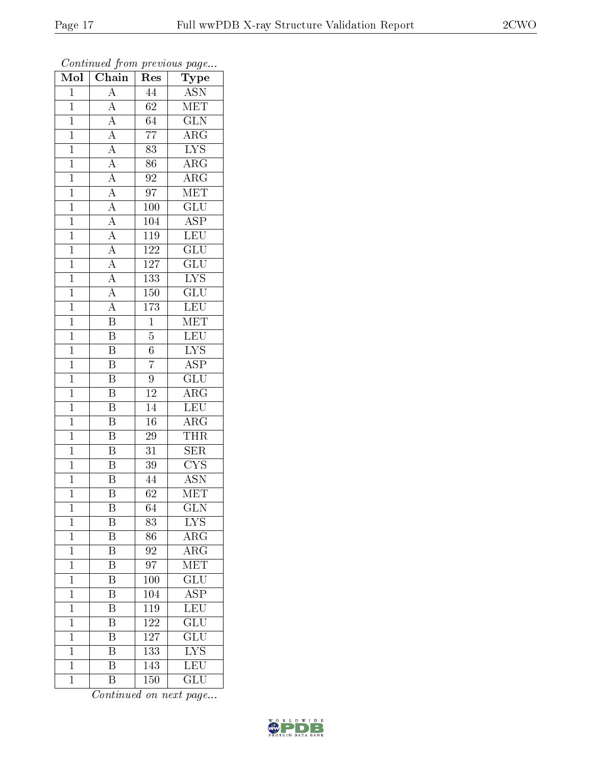| Mol            | $\overline{\text{Chain}}$                                                                                                                                                           | $\operatorname{Res}% \left( \mathcal{N}\right) \equiv\operatorname{Res}(\mathcal{N}_{0})\cap\mathcal{N}_{1}$ | ${\bf Type}$            |
|----------------|-------------------------------------------------------------------------------------------------------------------------------------------------------------------------------------|--------------------------------------------------------------------------------------------------------------|-------------------------|
| $\overline{1}$ | $\overline{A}$                                                                                                                                                                      | 44                                                                                                           | <b>ASN</b>              |
| $\mathbf{1}$   | $\overline{A}$                                                                                                                                                                      | 62                                                                                                           | <b>MET</b>              |
| $\overline{1}$ |                                                                                                                                                                                     | $\overline{64}$                                                                                              | $\overline{\text{GLN}}$ |
| $\mathbf{1}$   |                                                                                                                                                                                     | $\overline{77}$                                                                                              | $\rm{ARG}$              |
| $\mathbf{1}$   |                                                                                                                                                                                     | $\overline{83}$                                                                                              | $\overline{\text{LYS}}$ |
| $\mathbf{1}$   |                                                                                                                                                                                     | 86                                                                                                           | $\rm{ARG}$              |
| $\overline{1}$ | $\frac{\overline{A}}{\overline{A}}$ $\frac{\overline{A}}{\overline{A}}$ $\frac{\overline{A}}{\overline{A}}$ $\frac{\overline{A}}{\overline{A}}$ $\frac{\overline{A}}{\overline{A}}$ | $\overline{92}$                                                                                              | $\overline{\rm{ARG}}$   |
| $\overline{1}$ |                                                                                                                                                                                     | 97                                                                                                           | MET                     |
| $\mathbf{1}$   |                                                                                                                                                                                     | 100                                                                                                          | $\overline{\text{GLU}}$ |
| $\overline{1}$ |                                                                                                                                                                                     | 104                                                                                                          | $\overline{\text{ASP}}$ |
| $\overline{1}$ |                                                                                                                                                                                     | 119                                                                                                          | $\overline{\text{LEU}}$ |
| $\overline{1}$ |                                                                                                                                                                                     | <sup>122</sup>                                                                                               | $\overline{\text{GLU}}$ |
| $\overline{1}$ |                                                                                                                                                                                     | $\overline{127}$                                                                                             | $\overline{\text{GLU}}$ |
| $\mathbf{1}$   | $\frac{\overline{A}}{\overline{A}}$                                                                                                                                                 | 133                                                                                                          | $\overline{\text{LYS}}$ |
| $\overline{1}$ |                                                                                                                                                                                     | 150                                                                                                          | $\overline{{\rm GLU}}$  |
| $\overline{1}$ | $\overline{A}$                                                                                                                                                                      | 173                                                                                                          | $\overline{\text{LEU}}$ |
| $\overline{1}$ | $\overline{\mathbf{B}}$                                                                                                                                                             | $\overline{1}$                                                                                               | MET                     |
| $\mathbf{1}$   | $\overline{\mathbf{B}}$                                                                                                                                                             | $\overline{5}$                                                                                               | <b>LEU</b>              |
| $\mathbf{1}$   | $\overline{\mathbf{B}}$                                                                                                                                                             | $\sqrt{6}$                                                                                                   | $\overline{\text{LYS}}$ |
| $\overline{1}$ | $\overline{\mathrm{B}}$                                                                                                                                                             | $\overline{7}$                                                                                               | $\overline{\text{ASP}}$ |
| $\mathbf{1}$   | $\overline{\mathrm{B}}$                                                                                                                                                             | 9                                                                                                            | $\overline{\text{GLU}}$ |
| $\overline{1}$ | $\overline{\mathrm{B}}$                                                                                                                                                             | $\overline{12}$                                                                                              | $\overline{\rm ARG}$    |
| $\mathbf{1}$   | $\, {\bf B}$                                                                                                                                                                        | 14                                                                                                           | <b>LEU</b>              |
| $\mathbf 1$    | $\overline{\mathrm{B}}$                                                                                                                                                             | $\overline{16}$                                                                                              | $\overline{\rm{ARG}}$   |
| $\mathbf{1}$   | $\overline{\mathrm{B}}$                                                                                                                                                             | 29                                                                                                           | THR                     |
| $\mathbf{1}$   | $\overline{\mathrm{B}}$                                                                                                                                                             | 31                                                                                                           | SER                     |
| $\mathbf{1}$   | $\overline{\mathbf{B}}$                                                                                                                                                             | $\overline{39}$                                                                                              | $\overline{\text{CYS}}$ |
| $\mathbf{1}$   | $\overline{\mathrm{B}}$                                                                                                                                                             | 44                                                                                                           | $\rm \overline{ASN}$    |
| $\mathbf{1}$   | $\overline{\mathrm{B}}$                                                                                                                                                             | $\overline{62}$                                                                                              | MET                     |
| 1              | $\overline{B}$                                                                                                                                                                      | 64                                                                                                           | <b>GLN</b>              |
| $\mathbf 1$    | Β                                                                                                                                                                                   | 83                                                                                                           | $L\overline{YS}$        |
| $\mathbf 1$    | Β                                                                                                                                                                                   | 86                                                                                                           | ${\rm ARG}$             |
| $\mathbf 1$    | $\overline{\text{B}}$                                                                                                                                                               | 92                                                                                                           | ${\rm ARG}$             |
| $\mathbf 1$    | $\overline{\mathrm{B}}$                                                                                                                                                             | $\overline{97}$                                                                                              | $\overline{\text{MET}}$ |
| $\mathbf 1$    | B                                                                                                                                                                                   | 100                                                                                                          | $\overline{{\rm GLU}}$  |
| $\mathbf 1$    | $\overline{\mathrm{B}}$                                                                                                                                                             | 104                                                                                                          | $\overline{\text{ASP}}$ |
| $\mathbf 1$    | $\overline{\mathrm{B}}$                                                                                                                                                             | 119                                                                                                          | $\overline{\text{LEU}}$ |
| $\mathbf{1}$   | $\, {\bf B}$                                                                                                                                                                        | 122                                                                                                          | $\overline{\text{GLU}}$ |
| $\mathbf 1$    | $\overline{\mathrm{B}}$                                                                                                                                                             | 127                                                                                                          | $\overline{\text{GLU}}$ |
| $\mathbf{1}$   | Β                                                                                                                                                                                   | 133                                                                                                          | ${\rm LYS}$             |
| $\mathbf 1$    | $\overline{\mathrm{B}}$                                                                                                                                                             | 143                                                                                                          | $\overline{\text{LEU}}$ |
| $\mathbf 1$    | Β                                                                                                                                                                                   | <b>150</b>                                                                                                   | GLU                     |

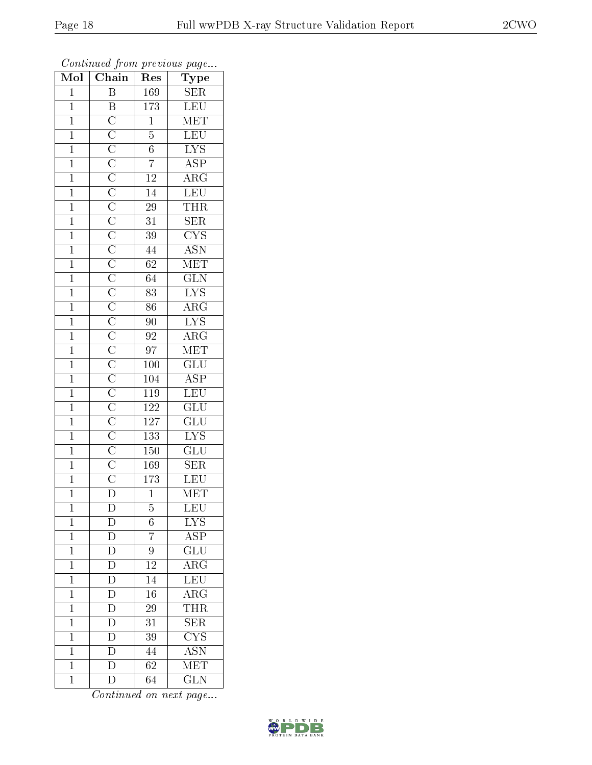| Mol            | $\overline{\text{Chain}}$ | ${\mathop{\mathrm{Res}}\nolimits}$ | Type                                       |
|----------------|---------------------------|------------------------------------|--------------------------------------------|
| $\overline{1}$ | $\overline{\mathbf{B}}$   | 169                                | <b>SER</b>                                 |
| $\overline{1}$ |                           | $\overline{173}$                   | $\overline{\text{LEU}}$                    |
| $\mathbf{1}$   |                           | $\overline{1}$                     | MET                                        |
| $\mathbf{1}$   |                           | $\overline{5}$                     | LEU                                        |
| $\overline{1}$ |                           | $\overline{6}$                     | $\overline{\text{LYS}}$                    |
| $\mathbf{1}$   |                           | $\overline{7}$                     | $\overline{\text{ASP}}$                    |
| $\overline{1}$ |                           | $\overline{12}$                    | $\overline{\rm{ARG}}$                      |
| $\mathbf{1}$   |                           | $\overline{14}$                    | LEU                                        |
| $\mathbf{1}$   |                           | $\overline{29}$                    | <b>THR</b>                                 |
| $\overline{1}$ |                           | $\overline{31}$                    | $\overline{\text{SER}}$                    |
| $\overline{1}$ |                           | $\overline{39}$                    | $\overline{\text{CYS}}$                    |
| $\overline{1}$ |                           | $\overline{44}$                    | ASN<br>MET                                 |
| $\overline{1}$ |                           | $\overline{62}$                    |                                            |
| $\mathbf{1}$   |                           | $\overline{64}$                    | $\overline{\text{GLN}}$                    |
| $\overline{1}$ |                           | $\overline{83}$                    | $\overline{\text{LYS}}$                    |
| $\mathbf{1}$   |                           | $\overline{86}$                    | $\overline{\rm{ARG}}$                      |
| $\overline{1}$ |                           | $\overline{90}$                    | $\overline{\text{LYS}}$                    |
| $\mathbf{1}$   |                           | $\rm 92$                           | $\overline{\rm{ARG}}$                      |
| $\overline{1}$ |                           | $\overline{97}$                    | MET                                        |
| $\mathbf{1}$   |                           | <b>100</b>                         | $\overline{\mathrm{GLU}}$                  |
| $\overline{1}$ |                           | 104                                | $\overline{\text{ASP}}$                    |
| $\overline{1}$ |                           | $\overline{119}$                   | LEU                                        |
| $\mathbf{1}$   |                           | 122                                | $\overline{\text{GLU}}$                    |
| $\overline{1}$ |                           | <sup>127</sup>                     | $\overline{{\rm GLU}}$                     |
| $\mathbf{1}$   |                           | $\overline{133}$                   | $\overline{\text{LYS}}$                    |
| $\overline{1}$ |                           | 150                                | $\overline{\text{GLU}}$                    |
| $\overline{1}$ |                           | 169                                | $\overline{\text{SER}}$                    |
| $\mathbf{1}$   |                           | 173                                | LEU                                        |
| $\overline{1}$ |                           | $\overline{1}$                     | MET                                        |
| $\mathbf{1}$   | $\overline{\mathrm{D}}$   | 5                                  | LEU                                        |
| $\mathbf{1}$   | D                         | $\sqrt{6}$                         | $\overline{\text{LYS}}$                    |
| $\mathbf 1$    | $\overline{\rm D}$        | $\overline{7}$                     | $\overline{\text{ASP}}$                    |
| $\mathbf 1$    | $\mathbf D$               | 9                                  | $\overline{\text{GLU}}$                    |
| $\mathbf{1}$   | $\overline{\rm D}$        | $\overline{12}$                    | $\overline{\rm ARG}$                       |
| $\mathbf{1}$   | D                         | 14                                 | $\overline{\text{LEU}}$                    |
| $\overline{1}$ | $\overline{D}$            | $\overline{16}$                    | $\overline{\rm{ARG}}$                      |
| $\mathbf{1}$   | $\overline{\rm D}$        | 29                                 | $\frac{\overline{\text{THR}}}{\text{SER}}$ |
| $\mathbf 1$    | D                         | 31                                 |                                            |
| $\mathbf{1}$   | $\overline{\rm D}$        | 39                                 | $\overline{\text{CYS}}$                    |
| $\overline{1}$ | $\overline{D}$            | 44                                 | $\overline{\mathrm{ASN}}$                  |
| $\mathbf{1}$   | $\overline{\rm D}$        | $\overline{6}2$                    | $\overline{\text{MET}}$                    |
| $\mathbf{1}$   | $\overline{\rm D}$        | 64                                 | <b>GLN</b>                                 |

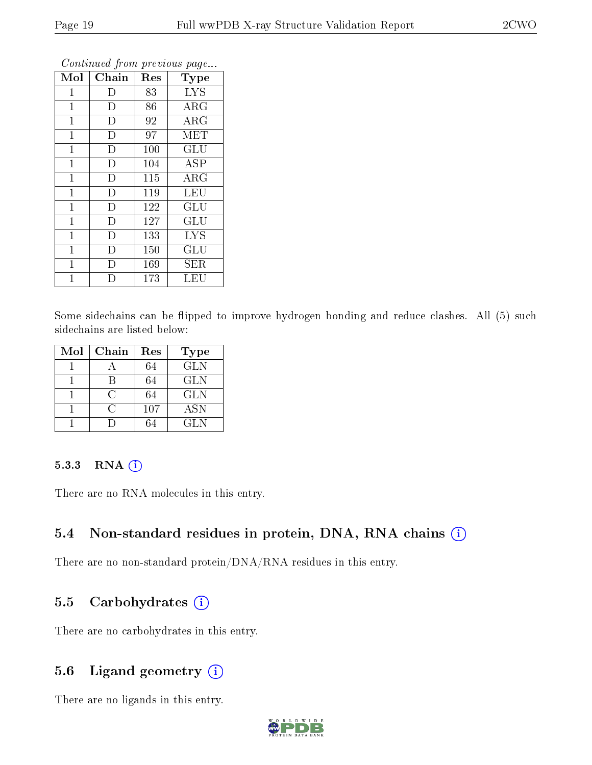| Mol            | Chain          | Res | Type       |
|----------------|----------------|-----|------------|
| $\mathbf{1}$   | D              | 83  | <b>LYS</b> |
| 1              | D              | 86  | $\rm{ARG}$ |
| $\mathbf{1}$   | D              | 92  | ARG        |
| $\mathbf 1$    | D              | 97  | MET        |
| $\mathbf{1}$   | D              | 100 | GLU        |
| $\mathbf 1$    | $\overline{D}$ | 104 | <b>ASP</b> |
| $\mathbf{1}$   | D              | 115 | $\rm{ARG}$ |
| $\mathbf{1}$   | D              | 119 | <b>LEU</b> |
| $\overline{1}$ | D              | 122 | <b>GLU</b> |
| $\mathbf{1}$   | D              | 127 | GLU        |
| $\mathbf{1}$   | D              | 133 | <b>LYS</b> |
| $\mathbf 1$    | D              | 150 | GLU        |
| 1              | D              | 169 | SER        |
| 1              | D              | 173 | LEU        |

Some sidechains can be flipped to improve hydrogen bonding and reduce clashes. All (5) such sidechains are listed below:

| Mol | Chain        | Res | <b>Type</b> |
|-----|--------------|-----|-------------|
|     |              | 64  | <b>GLN</b>  |
|     |              | 64  | <b>GLN</b>  |
|     | ( )          | 64  | <b>GLN</b>  |
|     | $\mathbf{C}$ | 107 | <b>ASN</b>  |
|     |              |     | GL N        |

#### 5.3.3 RNA [O](https://www.wwpdb.org/validation/2017/XrayValidationReportHelp#rna)i

There are no RNA molecules in this entry.

#### 5.4 Non-standard residues in protein, DNA, RNA chains (i)

There are no non-standard protein/DNA/RNA residues in this entry.

## 5.5 Carbohydrates  $(i)$

There are no carbohydrates in this entry.

## 5.6 Ligand geometry  $(i)$

There are no ligands in this entry.

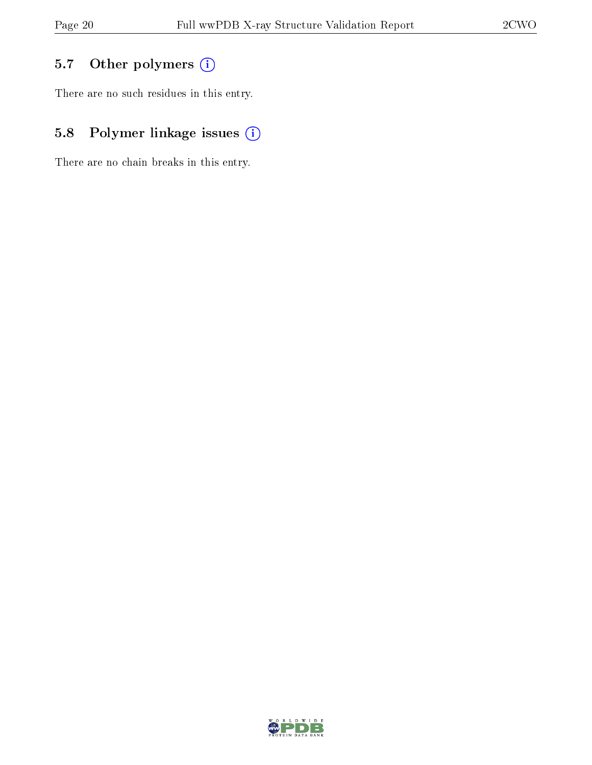# 5.7 [O](https://www.wwpdb.org/validation/2017/XrayValidationReportHelp#nonstandard_residues_and_ligands)ther polymers (i)

There are no such residues in this entry.

# 5.8 Polymer linkage issues (i)

There are no chain breaks in this entry.

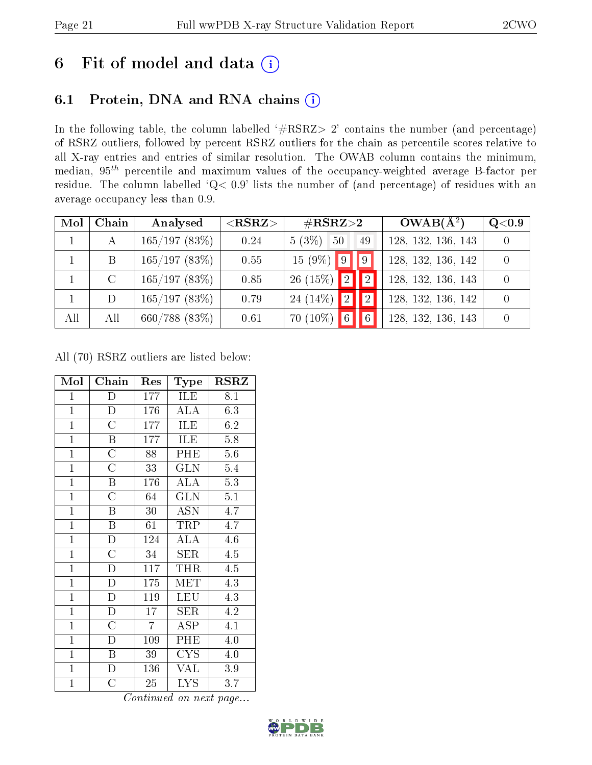# 6 Fit of model and data  $(i)$

# 6.1 Protein, DNA and RNA chains  $(i)$

In the following table, the column labelled  $#RSRZ> 2'$  contains the number (and percentage) of RSRZ outliers, followed by percent RSRZ outliers for the chain as percentile scores relative to all X-ray entries and entries of similar resolution. The OWAB column contains the minimum, median,  $95<sup>th</sup>$  percentile and maximum values of the occupancy-weighted average B-factor per residue. The column labelled ' $Q< 0.9$ ' lists the number of (and percentage) of residues with an average occupancy less than 0.9.

| Mol          | Chain         | Analysed         | $<$ RSRZ $>$ | $\#\text{RSRZ}{>}2$                            | $OWAB(A^2)$        | Q <sub>0.9</sub> |
|--------------|---------------|------------------|--------------|------------------------------------------------|--------------------|------------------|
| $\mathbf{1}$ | A             | 165/197(83%)     | 0.24         | $5(3\%)$<br>50<br>49                           | 128, 132, 136, 143 |                  |
|              | B             | 165/197(83%)     | 0.55         | $15(9\%)$ 9 9                                  | 128, 132, 136, 142 | $\overline{0}$   |
|              | $\mathcal{C}$ | 165/197(83%)     | 0.85         | $\boxed{2}$<br>26 $(15\%)$<br>$\overline{2}$   | 128, 132, 136, 143 |                  |
|              | D             | 165/197(83%)     | 0.79         | 24 $(14\%)$<br> 2 <br>$\overline{2}$           | 128, 132, 136, 142 | $\overline{0}$   |
| All          | All           | $660/788$ (83\%) | 0.61         | $\overline{6}$<br>6 <sup>1</sup><br>$70(10\%)$ | 128, 132, 136, 143 | $\overline{0}$   |

All (70) RSRZ outliers are listed below:

| Mol            | Chain                   | Res              | Type              | $_{\rm RSRZ}$    |
|----------------|-------------------------|------------------|-------------------|------------------|
| $\mathbf{1}$   | D                       | 177              | ILE               | 8.1              |
| $\mathbf{1}$   | D                       | 176              | <b>ALA</b>        | 6.3              |
| $\mathbf{1}$   | $\overline{\rm C}$      | $\overline{1}77$ | ILE               | 6.2              |
| $\overline{1}$ | B                       | 177              | ILE               | $5.8\,$          |
| $\overline{1}$ | $\overline{\rm C}$      | 88               | PHE               | $\overline{5}.6$ |
| $\overline{1}$ | $\overline{\rm C}$      | 33               | <b>GLN</b>        | 5.4              |
| $\overline{1}$ | B                       | 176              | ALA               | 5.3              |
| $\mathbf{1}$   | $\overline{\rm C}$      | 64               | GLN               | 5.1              |
| $\mathbf{1}$   | $\boldsymbol{B}$        | 30               | $\overline{A}$ SN | 4.7              |
| $\overline{1}$ | $\overline{\mathrm{B}}$ | $\bar{6}1$       | <b>TRP</b>        | 4.7              |
| $\overline{1}$ | $\overline{D}$          | 124              | <b>ALA</b>        | 4.6              |
| $\overline{1}$ | $\overline{\rm C}$      | 34               | SER               | 4.5              |
| $\overline{1}$ | $\overline{D}$          | 117              | <b>THR</b>        | 4.5              |
| $\mathbf{1}$   | $\mathbf D$             | 175              | MET               | 4.3              |
| $\overline{1}$ | $\overline{\mathrm{D}}$ | 119              | <b>LEU</b>        | 4.3              |
| $\overline{1}$ | $\overline{\rm D}$      | 17               | SER               | 4.2              |
| $\overline{1}$ | $\overline{\rm C}$      | $\overline{7}$   | ASP               | 4.1              |
| $\mathbf{1}$   | D                       | 109              | PHE               | 4.0              |
| $\mathbf{1}$   | $\, {\bf B}$            | 39               | <b>CYS</b>        | 4.0              |
| $\mathbf{1}$   | $\mathbf D$             | 136              | <b>VAL</b>        | 3.9              |
| $\mathbf{1}$   | $\overline{\rm C}$      | 25               | LYS               | 3.7              |

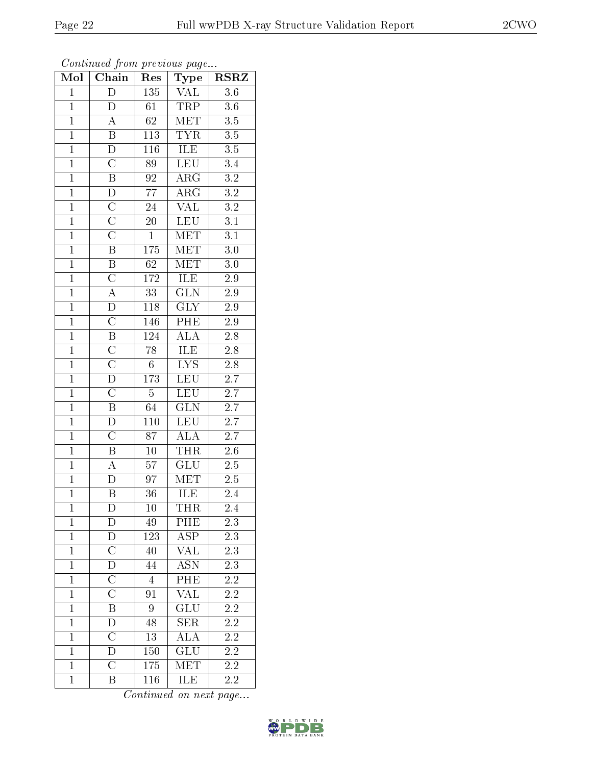| Mol            | Chain                   | Res              | <b>Type</b>             | <b>RSRZ</b>      |
|----------------|-------------------------|------------------|-------------------------|------------------|
| $\mathbf{1}$   | $\overline{D}$          | 135              | <b>VAL</b>              | 3.6              |
| $\mathbf{1}$   | D                       | 61               | TRP                     | 3.6              |
| $\overline{1}$ | $\overline{A}$          | $\overline{62}$  | MET                     | $\overline{3.5}$ |
| $\overline{1}$ | $\overline{B}$          | 113              | <b>TYR</b>              | $\overline{3.5}$ |
| $\overline{1}$ | $\overline{D}$          | $\overline{116}$ | <b>ILE</b>              | $\overline{3.5}$ |
| $\overline{1}$ | $\overline{\rm C}$      | 89               | <b>LEU</b>              | 3.4              |
| $\overline{1}$ | $\overline{\text{B}}$   | $\overline{92}$  | $\overline{\rm{ARG}}$   | $\overline{3.2}$ |
| $\overline{1}$ | $\overline{\mathrm{D}}$ | $\overline{77}$  | $\overline{\text{ARG}}$ | $\overline{3.2}$ |
| $\overline{1}$ | $\overline{\rm C}$      | $\overline{24}$  | $\overline{\text{VAL}}$ | $\overline{3.2}$ |
| $\overline{1}$ | $\overline{\rm C}$      | $\overline{20}$  | <b>LEU</b>              | $\overline{3.1}$ |
| $\overline{1}$ | $\overline{\rm C}$      | $\overline{1}$   | MET                     | $\overline{3.1}$ |
| $\overline{1}$ | $\overline{\mathrm{B}}$ | $\overline{175}$ | $\overline{\text{MET}}$ | $\overline{3.0}$ |
| $\overline{1}$ | $\overline{B}$          | $\overline{62}$  | <b>MET</b>              | 3.0              |
| $\overline{1}$ | $\overline{\rm C}$      | 172              | ILE                     | $2.9\,$          |
| $\overline{1}$ | $\overline{A}$          | $\overline{33}$  | $\overline{\text{GLN}}$ | $\overline{2.9}$ |
| $\mathbf{1}$   | $\overline{D}$          | <b>118</b>       | $\overline{\text{GLY}}$ | $2.9\,$          |
| $\overline{1}$ | $\overline{\rm C}$      | 146              | $\overline{\rm PHE}$    | $2.9\,$          |
| $\overline{1}$ | $\overline{B}$          | 124              | <b>ALA</b>              | $\overline{2.8}$ |
| $\overline{1}$ | $\overline{C}$          | $\overline{78}$  | $\overline{\text{ILE}}$ | $\overline{2.8}$ |
| $\overline{1}$ | $\overline{\rm C}$      | $\overline{6}$   | $LYS$                   | $\overline{2.8}$ |
| $\mathbf{1}$   | $\overline{D}$          | 173              | LEU                     | 2.7              |
| $\overline{1}$ | $\overline{C}$          | $\overline{5}$   | LEU                     | $\overline{2.7}$ |
| $\overline{1}$ | $\overline{\mathbf{B}}$ | 64               | $\overline{\text{GLN}}$ | $\overline{2.7}$ |
| $\overline{1}$ | $\overline{\rm D}$      | $\overline{110}$ | LEU                     | $\overline{2.7}$ |
| $\overline{1}$ | $\overline{\rm C}$      | $\overline{87}$  | $\overline{\text{ALA}}$ | $\overline{2.7}$ |
| $\overline{1}$ | $\overline{\mathbf{B}}$ | $\overline{10}$  | THR                     | $\overline{2.6}$ |
| $\overline{1}$ | $\overline{A}$          | $\overline{57}$  | $\overline{\text{GLU}}$ | $\overline{2.5}$ |
| $\overline{1}$ | D                       | $\overline{97}$  | <b>MET</b>              | $2.5\,$          |
| $\overline{1}$ | $\overline{\mathrm{B}}$ | $\overline{36}$  | ILE                     | 2.4              |
| $\mathbf 1$    | D                       | 10               | <b>THR</b>              | 2.4              |
| $\mathbf{1}$   | D                       | 49               | PHE                     | 2.3              |
| $\mathbf{1}$   | D                       | 123              | $\overline{\text{ASP}}$ | $\overline{2.3}$ |
| $\mathbf{1}$   | $\overline{\text{C}}$   | 40               | <b>VAL</b>              | 2.3              |
| $\overline{1}$ | $\overline{\rm D}$      | 44               | <b>ASN</b>              | $\overline{2.3}$ |
| $\mathbf{1}$   | $\overline{C}$          | $\overline{4}$   | PHE                     | <b>2.2</b>       |
| $\mathbf{1}$   | $\overline{\rm C}$      | 91               | $\overline{\text{VAL}}$ | $2.2\,$          |
| $\mathbf{1}$   | $\overline{\mathrm{B}}$ | 9                | GLU                     | $\overline{2.2}$ |
| $\mathbf{1}$   | D                       | 48               | <b>SER</b>              | 2.2              |
| $\overline{1}$ | $\overline{\rm C}$      | $\overline{13}$  | $\overline{\rm ALA}$    | $\overline{2.2}$ |
| $\mathbf{1}$   | D                       | 150              | GLU                     | $2.2\,$          |
| $\mathbf{1}$   | $\overline{\rm C}$      | 175              | MET                     | $\overline{2.2}$ |
| $\mathbf{1}$   | $\overline{\mathrm{B}}$ | 116              | ILE                     | $2.2\,$          |